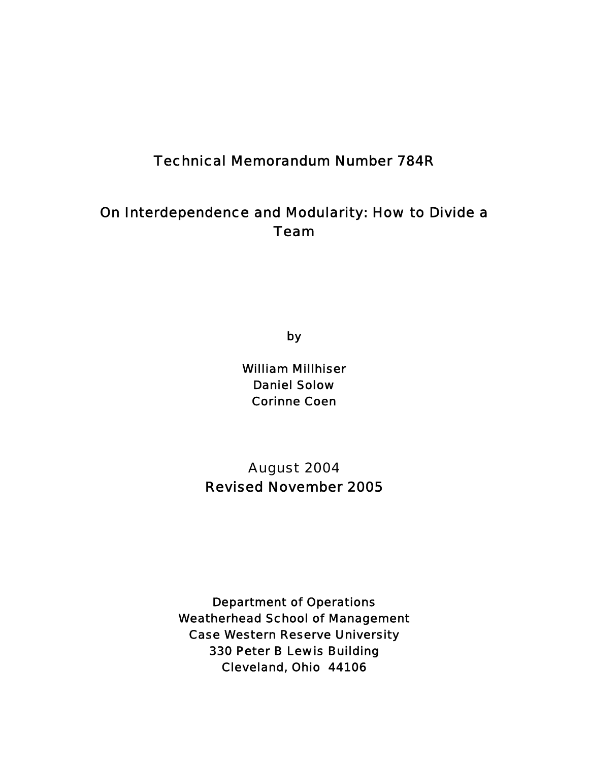# Technical Memorandum Number 784R

# On Interdependence and Modularity: How to Divide a Team

by

William Millhiser Daniel Solow Corinne Coen

August 2004 Revised November 2005

Department of Operations Weatherhead School of Management Case Western Reserve University 330 Peter B Lewis Building Cleveland, Ohio 44106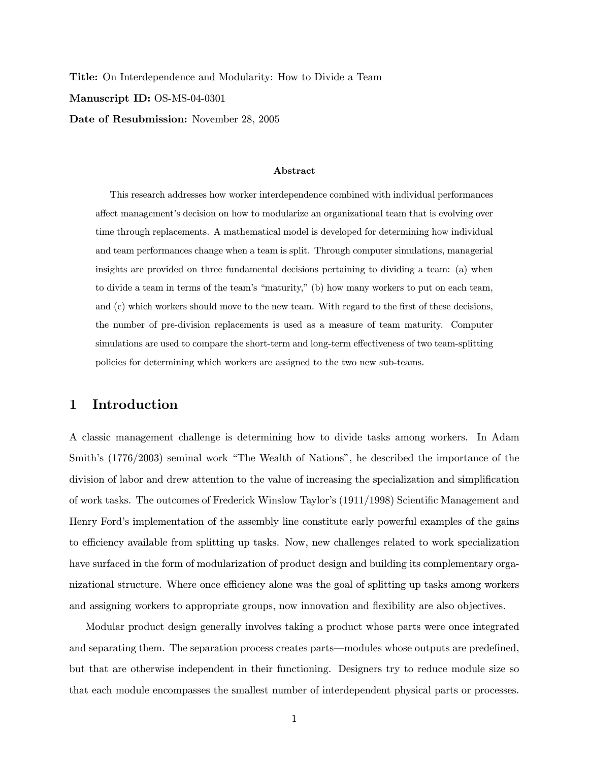Title: On Interdependence and Modularity: How to Divide a Team Manuscript ID: OS-MS-04-0301 Date of Resubmission: November 28, 2005

#### Abstract

This research addresses how worker interdependence combined with individual performances affect management's decision on how to modularize an organizational team that is evolving over time through replacements. A mathematical model is developed for determining how individual and team performances change when a team is split. Through computer simulations, managerial insights are provided on three fundamental decisions pertaining to dividing a team: (a) when to divide a team in terms of the team's "maturity," (b) how many workers to put on each team, and (c) which workers should move to the new team. With regard to the first of these decisions, the number of pre-division replacements is used as a measure of team maturity. Computer simulations are used to compare the short-term and long-term effectiveness of two team-splitting policies for determining which workers are assigned to the two new sub-teams.

### 1 Introduction

A classic management challenge is determining how to divide tasks among workers. In Adam Smith's (1776/2003) seminal work "The Wealth of Nations", he described the importance of the division of labor and drew attention to the value of increasing the specialization and simplification of work tasks. The outcomes of Frederick Winslow Taylor's (1911/1998) Scientific Management and Henry Ford's implementation of the assembly line constitute early powerful examples of the gains to efficiency available from splitting up tasks. Now, new challenges related to work specialization have surfaced in the form of modularization of product design and building its complementary organizational structure. Where once efficiency alone was the goal of splitting up tasks among workers and assigning workers to appropriate groups, now innovation and flexibility are also objectives.

Modular product design generally involves taking a product whose parts were once integrated and separating them. The separation process creates parts–modules whose outputs are predefined, but that are otherwise independent in their functioning. Designers try to reduce module size so that each module encompasses the smallest number of interdependent physical parts or processes.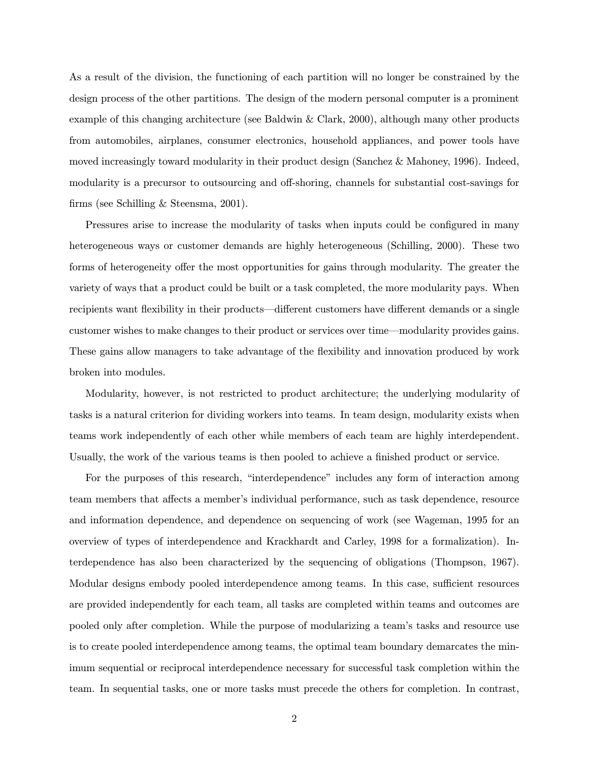As a result of the division, the functioning of each partition will no longer be constrained by the design process of the other partitions. The design of the modern personal computer is a prominent example of this changing architecture (see Baldwin & Clark, 2000), although many other products from automobiles, airplanes, consumer electronics, household appliances, and power tools have moved increasingly toward modularity in their product design (Sanchez & Mahoney, 1996). Indeed, modularity is a precursor to outsourcing and off-shoring, channels for substantial cost-savings for firms (see Schilling & Steensma, 2001).

Pressures arise to increase the modularity of tasks when inputs could be configured in many heterogeneous ways or customer demands are highly heterogeneous (Schilling, 2000). These two forms of heterogeneity offer the most opportunities for gains through modularity. The greater the variety of ways that a product could be built or a task completed, the more modularity pays. When recipients want flexibility in their products–different customers have different demands or a single customer wishes to make changes to their product or services over time–modularity provides gains. These gains allow managers to take advantage of the flexibility and innovation produced by work broken into modules.

Modularity, however, is not restricted to product architecture; the underlying modularity of tasks is a natural criterion for dividing workers into teams. In team design, modularity exists when teams work independently of each other while members of each team are highly interdependent. Usually, the work of the various teams is then pooled to achieve a finished product or service.

For the purposes of this research, "interdependence" includes any form of interaction among team members that affects a member's individual performance, such as task dependence, resource and information dependence, and dependence on sequencing of work (see Wageman, 1995 for an overview of types of interdependence and Krackhardt and Carley, 1998 for a formalization). Interdependence has also been characterized by the sequencing of obligations (Thompson, 1967). Modular designs embody pooled interdependence among teams. In this case, sufficient resources are provided independently for each team, all tasks are completed within teams and outcomes are pooled only after completion. While the purpose of modularizing a team's tasks and resource use is to create pooled interdependence among teams, the optimal team boundary demarcates the minimum sequential or reciprocal interdependence necessary for successful task completion within the team. In sequential tasks, one or more tasks must precede the others for completion. In contrast,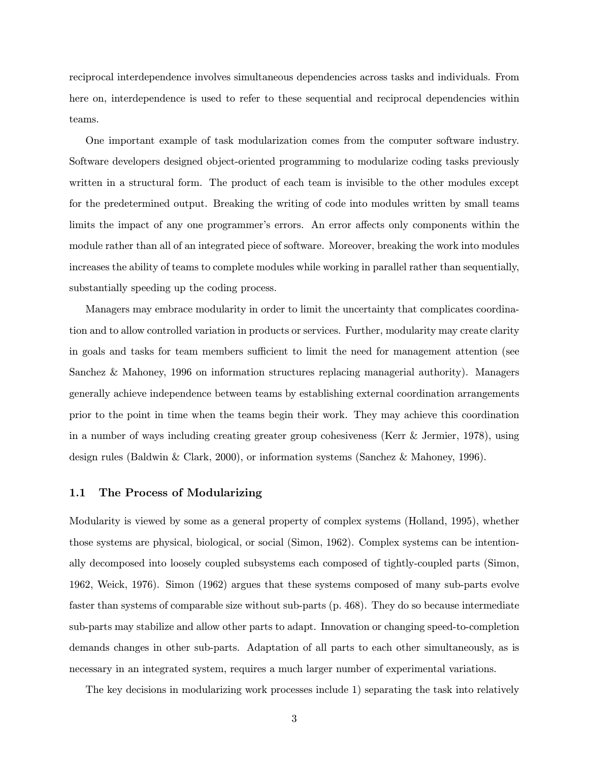reciprocal interdependence involves simultaneous dependencies across tasks and individuals. From here on, interdependence is used to refer to these sequential and reciprocal dependencies within teams.

One important example of task modularization comes from the computer software industry. Software developers designed object-oriented programming to modularize coding tasks previously written in a structural form. The product of each team is invisible to the other modules except for the predetermined output. Breaking the writing of code into modules written by small teams limits the impact of any one programmer's errors. An error affects only components within the module rather than all of an integrated piece of software. Moreover, breaking the work into modules increases the ability of teams to complete modules while working in parallel rather than sequentially, substantially speeding up the coding process.

Managers may embrace modularity in order to limit the uncertainty that complicates coordination and to allow controlled variation in products or services. Further, modularity may create clarity in goals and tasks for team members sufficient to limit the need for management attention (see Sanchez & Mahoney, 1996 on information structures replacing managerial authority). Managers generally achieve independence between teams by establishing external coordination arrangements prior to the point in time when the teams begin their work. They may achieve this coordination in a number of ways including creating greater group cohesiveness (Kerr & Jermier, 1978), using design rules (Baldwin & Clark, 2000), or information systems (Sanchez & Mahoney, 1996).

#### 1.1 The Process of Modularizing

Modularity is viewed by some as a general property of complex systems (Holland, 1995), whether those systems are physical, biological, or social (Simon, 1962). Complex systems can be intentionally decomposed into loosely coupled subsystems each composed of tightly-coupled parts (Simon, 1962, Weick, 1976). Simon (1962) argues that these systems composed of many sub-parts evolve faster than systems of comparable size without sub-parts (p. 468). They do so because intermediate sub-parts may stabilize and allow other parts to adapt. Innovation or changing speed-to-completion demands changes in other sub-parts. Adaptation of all parts to each other simultaneously, as is necessary in an integrated system, requires a much larger number of experimental variations.

The key decisions in modularizing work processes include 1) separating the task into relatively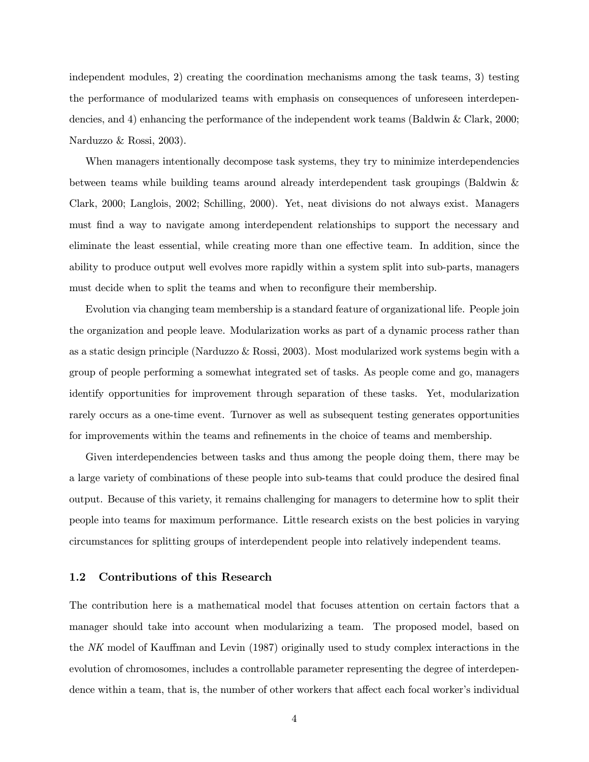independent modules, 2) creating the coordination mechanisms among the task teams, 3) testing the performance of modularized teams with emphasis on consequences of unforeseen interdependencies, and 4) enhancing the performance of the independent work teams (Baldwin & Clark, 2000; Narduzzo & Rossi, 2003).

When managers intentionally decompose task systems, they try to minimize interdependencies between teams while building teams around already interdependent task groupings (Baldwin & Clark, 2000; Langlois, 2002; Schilling, 2000). Yet, neat divisions do not always exist. Managers must find a way to navigate among interdependent relationships to support the necessary and eliminate the least essential, while creating more than one effective team. In addition, since the ability to produce output well evolves more rapidly within a system split into sub-parts, managers must decide when to split the teams and when to reconfigure their membership.

Evolution via changing team membership is a standard feature of organizational life. People join the organization and people leave. Modularization works as part of a dynamic process rather than as a static design principle (Narduzzo & Rossi, 2003). Most modularized work systems begin with a group of people performing a somewhat integrated set of tasks. As people come and go, managers identify opportunities for improvement through separation of these tasks. Yet, modularization rarely occurs as a one-time event. Turnover as well as subsequent testing generates opportunities for improvements within the teams and refinements in the choice of teams and membership.

Given interdependencies between tasks and thus among the people doing them, there may be a large variety of combinations of these people into sub-teams that could produce the desired final output. Because of this variety, it remains challenging for managers to determine how to split their people into teams for maximum performance. Little research exists on the best policies in varying circumstances for splitting groups of interdependent people into relatively independent teams.

### 1.2 Contributions of this Research

The contribution here is a mathematical model that focuses attention on certain factors that a manager should take into account when modularizing a team. The proposed model, based on the NK model of Kauffman and Levin (1987) originally used to study complex interactions in the evolution of chromosomes, includes a controllable parameter representing the degree of interdependence within a team, that is, the number of other workers that affect each focal worker's individual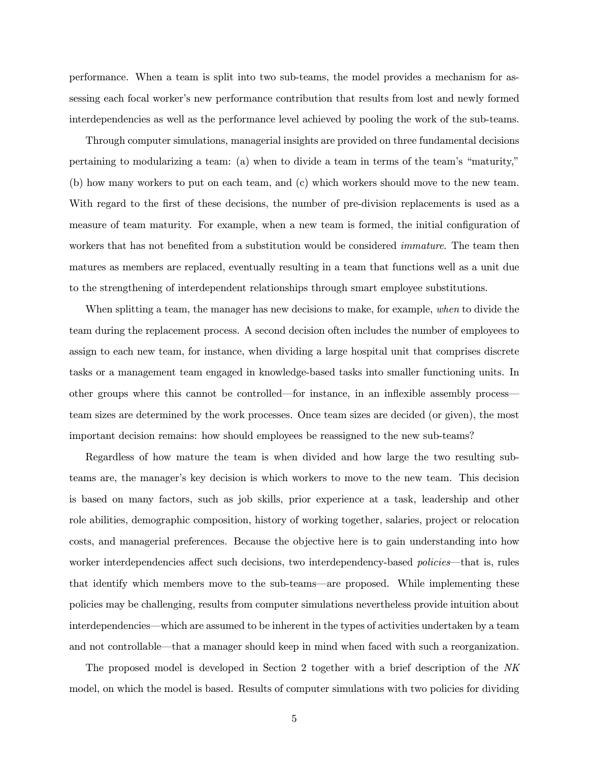performance. When a team is split into two sub-teams, the model provides a mechanism for assessing each focal worker's new performance contribution that results from lost and newly formed interdependencies as well as the performance level achieved by pooling the work of the sub-teams.

Through computer simulations, managerial insights are provided on three fundamental decisions pertaining to modularizing a team: (a) when to divide a team in terms of the team's "maturity," (b) how many workers to put on each team, and (c) which workers should move to the new team. With regard to the first of these decisions, the number of pre-division replacements is used as a measure of team maturity. For example, when a new team is formed, the initial configuration of workers that has not benefited from a substitution would be considered *immature*. The team then matures as members are replaced, eventually resulting in a team that functions well as a unit due to the strengthening of interdependent relationships through smart employee substitutions.

When splitting a team, the manager has new decisions to make, for example, when to divide the team during the replacement process. A second decision often includes the number of employees to assign to each new team, for instance, when dividing a large hospital unit that comprises discrete tasks or a management team engaged in knowledge-based tasks into smaller functioning units. In other groups where this cannot be controlled–for instance, in an inflexible assembly process– team sizes are determined by the work processes. Once team sizes are decided (or given), the most important decision remains: how should employees be reassigned to the new sub-teams?

Regardless of how mature the team is when divided and how large the two resulting subteams are, the manager's key decision is which workers to move to the new team. This decision is based on many factors, such as job skills, prior experience at a task, leadership and other role abilities, demographic composition, history of working together, salaries, project or relocation costs, and managerial preferences. Because the objective here is to gain understanding into how worker interdependencies affect such decisions, two interdependency-based *policies*—that is, rules that identify which members move to the sub-teams–are proposed. While implementing these policies may be challenging, results from computer simulations nevertheless provide intuition about interdependencies–which are assumed to be inherent in the types of activities undertaken by a team and not controllable–that a manager should keep in mind when faced with such a reorganization.

The proposed model is developed in Section 2 together with a brief description of the NK model, on which the model is based. Results of computer simulations with two policies for dividing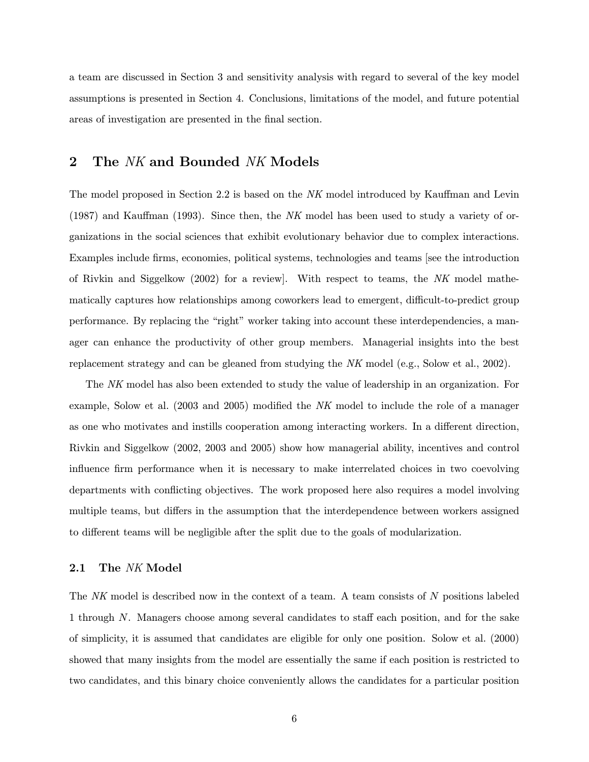a team are discussed in Section 3 and sensitivity analysis with regard to several of the key model assumptions is presented in Section 4. Conclusions, limitations of the model, and future potential areas of investigation are presented in the final section.

### 2 The NK and Bounded NK Models

The model proposed in Section 2.2 is based on the NK model introduced by Kauffman and Levin  $(1987)$  and Kauffman  $(1993)$ . Since then, the NK model has been used to study a variety of organizations in the social sciences that exhibit evolutionary behavior due to complex interactions. Examples include firms, economies, political systems, technologies and teams [see the introduction of Rivkin and Siggelkow (2002) for a review]. With respect to teams, the NK model mathematically captures how relationships among coworkers lead to emergent, difficult-to-predict group performance. By replacing the "right" worker taking into account these interdependencies, a manager can enhance the productivity of other group members. Managerial insights into the best replacement strategy and can be gleaned from studying the NK model (e.g., Solow et al., 2002).

The NK model has also been extended to study the value of leadership in an organization. For example, Solow et al. (2003 and 2005) modified the NK model to include the role of a manager as one who motivates and instills cooperation among interacting workers. In a different direction, Rivkin and Siggelkow (2002, 2003 and 2005) show how managerial ability, incentives and control influence firm performance when it is necessary to make interrelated choices in two coevolving departments with conflicting objectives. The work proposed here also requires a model involving multiple teams, but differs in the assumption that the interdependence between workers assigned to different teams will be negligible after the split due to the goals of modularization.

### 2.1 The NK Model

The NK model is described now in the context of a team. A team consists of N positions labeled 1 through N. Managers choose among several candidates to staff each position, and for the sake of simplicity, it is assumed that candidates are eligible for only one position. Solow et al. (2000) showed that many insights from the model are essentially the same if each position is restricted to two candidates, and this binary choice conveniently allows the candidates for a particular position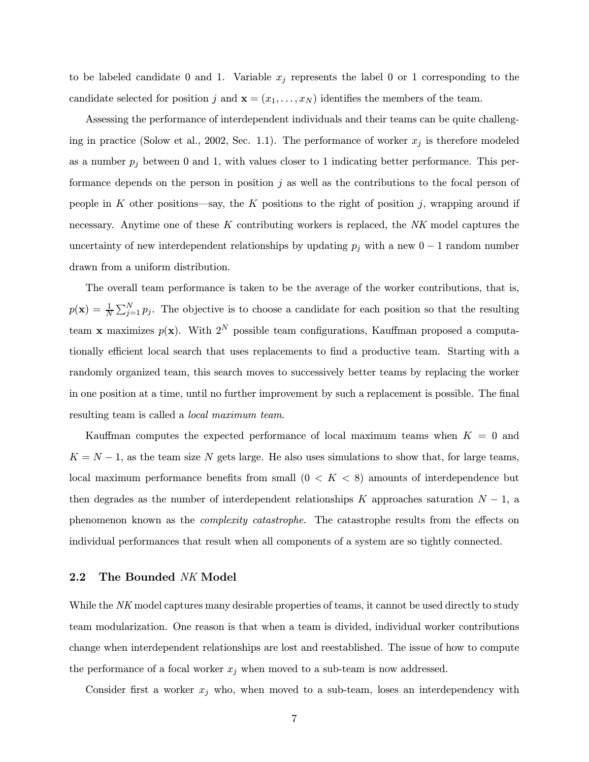to be labeled candidate 0 and 1. Variable  $x_j$  represents the label 0 or 1 corresponding to the candidate selected for position j and  $\mathbf{x} = (x_1, \ldots, x_N)$  identifies the members of the team.

Assessing the performance of interdependent individuals and their teams can be quite challenging in practice (Solow et al., 2002, Sec. 1.1). The performance of worker  $x_j$  is therefore modeled as a number  $p_j$  between 0 and 1, with values closer to 1 indicating better performance. This performance depends on the person in position  $j$  as well as the contributions to the focal person of people in K other positions—say, the K positions to the right of position j, wrapping around if necessary. Anytime one of these  $K$  contributing workers is replaced, the  $NK$  model captures the uncertainty of new interdependent relationships by updating  $p_j$  with a new 0 − 1 random number drawn from a uniform distribution.

The overall team performance is taken to be the average of the worker contributions, that is,  $p(\mathbf{x}) = \frac{1}{N} \sum_{j=1}^{N} p_j$ . The objective is to choose a candidate for each position so that the resulting team x maximizes  $p(x)$ . With  $2^N$  possible team configurations, Kauffman proposed a computationally efficient local search that uses replacements to find a productive team. Starting with a randomly organized team, this search moves to successively better teams by replacing the worker in one position at a time, until no further improvement by such a replacement is possible. The final resulting team is called a local maximum team.

Kauffman computes the expected performance of local maximum teams when  $K = 0$  and  $K = N - 1$ , as the team size N gets large. He also uses simulations to show that, for large teams, local maximum performance benefits from small  $(0 < K < 8)$  amounts of interdependence but then degrades as the number of interdependent relationships K approaches saturation  $N-1$ , a phenomenon known as the complexity catastrophe. The catastrophe results from the effects on individual performances that result when all components of a system are so tightly connected.

### 2.2 The Bounded NK Model

While the NK model captures many desirable properties of teams, it cannot be used directly to study team modularization. One reason is that when a team is divided, individual worker contributions change when interdependent relationships are lost and reestablished. The issue of how to compute the performance of a focal worker  $x_j$  when moved to a sub-team is now addressed.

Consider first a worker  $x_j$  who, when moved to a sub-team, loses an interdependency with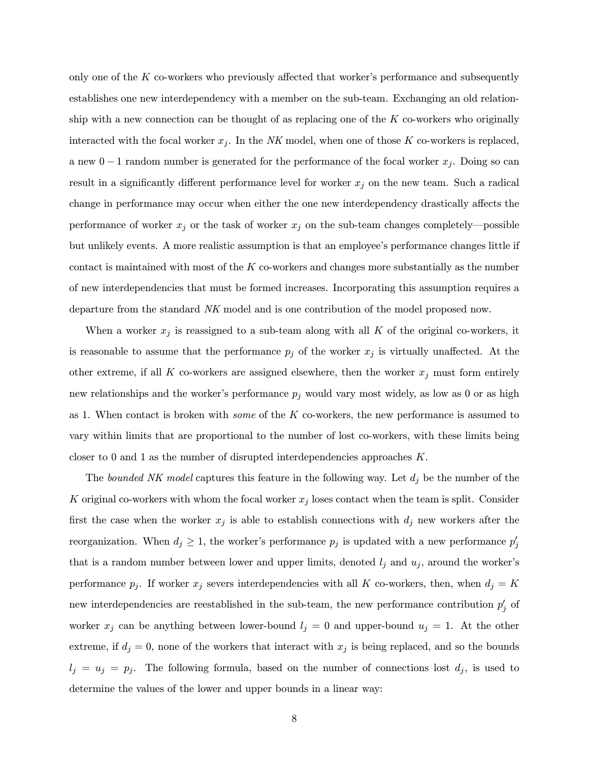only one of the  $K$  co-workers who previously affected that worker's performance and subsequently establishes one new interdependency with a member on the sub-team. Exchanging an old relationship with a new connection can be thought of as replacing one of the  $K$  co-workers who originally interacted with the focal worker  $x_j$ . In the NK model, when one of those K co-workers is replaced, a new  $0-1$  random number is generated for the performance of the focal worker  $x_i$ . Doing so can result in a significantly different performance level for worker  $x_j$  on the new team. Such a radical change in performance may occur when either the one new interdependency drastically affects the performance of worker  $x_j$  or the task of worker  $x_j$  on the sub-team changes completely—possible but unlikely events. A more realistic assumption is that an employee's performance changes little if contact is maintained with most of the  $K$  co-workers and changes more substantially as the number of new interdependencies that must be formed increases. Incorporating this assumption requires a departure from the standard NK model and is one contribution of the model proposed now.

When a worker  $x_j$  is reassigned to a sub-team along with all K of the original co-workers, it is reasonable to assume that the performance  $p_j$  of the worker  $x_j$  is virtually unaffected. At the other extreme, if all K co-workers are assigned elsewhere, then the worker  $x_j$  must form entirely new relationships and the worker's performance  $p_j$  would vary most widely, as low as 0 or as high as 1. When contact is broken with *some* of the  $K$  co-workers, the new performance is assumed to vary within limits that are proportional to the number of lost co-workers, with these limits being closer to 0 and 1 as the number of disrupted interdependencies approaches K.

The bounded NK model captures this feature in the following way. Let  $d_j$  be the number of the K original co-workers with whom the focal worker  $x_j$  loses contact when the team is split. Consider first the case when the worker  $x_j$  is able to establish connections with  $d_j$  new workers after the reorganization. When  $d_j \geq 1$ , the worker's performance  $p_j$  is updated with a new performance  $p'_j$ that is a random number between lower and upper limits, denoted  $l_i$  and  $u_i$ , around the worker's performance  $p_j$ . If worker  $x_j$  severs interdependencies with all K co-workers, then, when  $d_j = K$ new interdependencies are reestablished in the sub-team, the new performance contribution  $p'_j$  of worker  $x_j$  can be anything between lower-bound  $l_j = 0$  and upper-bound  $u_j = 1$ . At the other extreme, if  $d_i = 0$ , none of the workers that interact with  $x_i$  is being replaced, and so the bounds  $l_j = u_j = p_j$ . The following formula, based on the number of connections lost  $d_j$ , is used to determine the values of the lower and upper bounds in a linear way: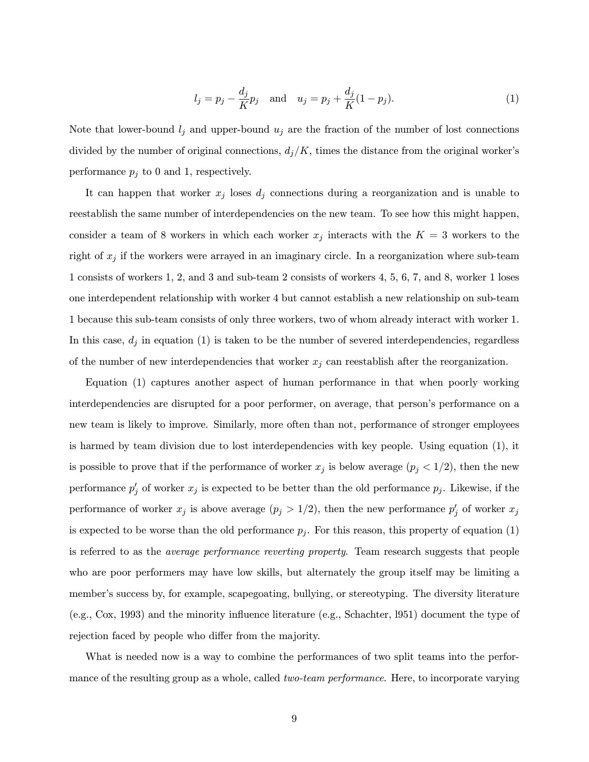$$
l_j = p_j - \frac{d_j}{K}p_j
$$
 and  $u_j = p_j + \frac{d_j}{K}(1 - p_j).$  (1)

Note that lower-bound  $l_j$  and upper-bound  $u_j$  are the fraction of the number of lost connections divided by the number of original connections,  $d_j/K$ , times the distance from the original worker's performance  $p_j$  to 0 and 1, respectively.

It can happen that worker  $x_j$  loses  $d_j$  connections during a reorganization and is unable to reestablish the same number of interdependencies on the new team. To see how this might happen, consider a team of 8 workers in which each worker  $x_j$  interacts with the  $K = 3$  workers to the right of  $x_j$  if the workers were arrayed in an imaginary circle. In a reorganization where sub-team 1 consists of workers 1, 2, and 3 and sub-team 2 consists of workers 4, 5, 6, 7, and 8, worker 1 loses one interdependent relationship with worker 4 but cannot establish a new relationship on sub-team 1 because this sub-team consists of only three workers, two of whom already interact with worker 1. In this case,  $d_j$  in equation (1) is taken to be the number of severed interdependencies, regardless of the number of new interdependencies that worker  $x_j$  can reestablish after the reorganization.

Equation (1) captures another aspect of human performance in that when poorly working interdependencies are disrupted for a poor performer, on average, that person's performance on a new team is likely to improve. Similarly, more often than not, performance of stronger employees is harmed by team division due to lost interdependencies with key people. Using equation (1), it is possible to prove that if the performance of worker  $x_j$  is below average  $(p_j < 1/2)$ , then the new performance  $p'_j$  of worker  $x_j$  is expected to be better than the old performance  $p_j$ . Likewise, if the performance of worker  $x_j$  is above average  $(p_j > 1/2)$ , then the new performance  $p'_j$  of worker  $x_j$ is expected to be worse than the old performance  $p_j$ . For this reason, this property of equation (1) is referred to as the average performance reverting property. Team research suggests that people who are poor performers may have low skills, but alternately the group itself may be limiting a member's success by, for example, scapegoating, bullying, or stereotyping. The diversity literature (e.g., Cox, 1993) and the minority influence literature (e.g., Schachter, l951) document the type of rejection faced by people who differ from the majority.

What is needed now is a way to combine the performances of two split teams into the performance of the resulting group as a whole, called *two-team performance*. Here, to incorporate varying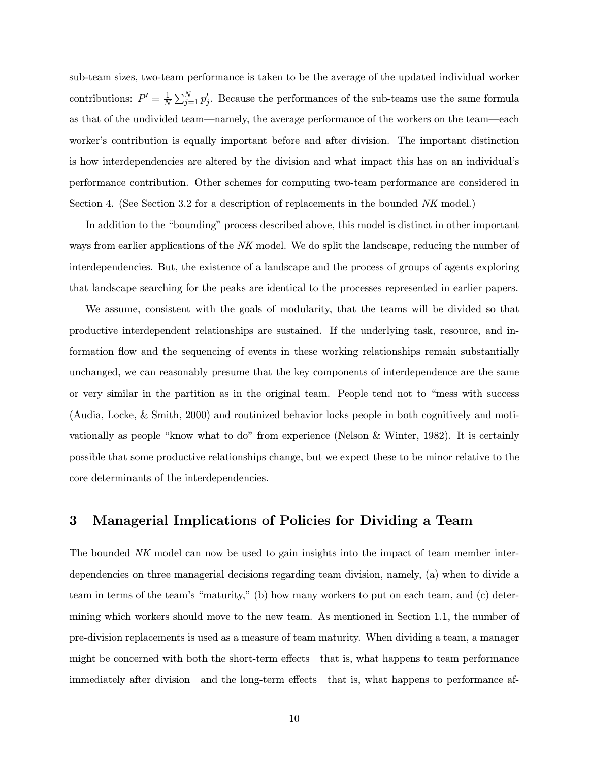sub-team sizes, two-team performance is taken to be the average of the updated individual worker contributions:  $P' = \frac{1}{N} \sum_{j=1}^{N} p'_j$ . Because the performances of the sub-teams use the same formula as that of the undivided team–namely, the average performance of the workers on the team–each worker's contribution is equally important before and after division. The important distinction is how interdependencies are altered by the division and what impact this has on an individual's performance contribution. Other schemes for computing two-team performance are considered in Section 4. (See Section 3.2 for a description of replacements in the bounded NK model.)

In addition to the "bounding" process described above, this model is distinct in other important ways from earlier applications of the NK model. We do split the landscape, reducing the number of interdependencies. But, the existence of a landscape and the process of groups of agents exploring that landscape searching for the peaks are identical to the processes represented in earlier papers.

We assume, consistent with the goals of modularity, that the teams will be divided so that productive interdependent relationships are sustained. If the underlying task, resource, and information flow and the sequencing of events in these working relationships remain substantially unchanged, we can reasonably presume that the key components of interdependence are the same or very similar in the partition as in the original team. People tend not to "mess with success (Audia, Locke, & Smith, 2000) and routinized behavior locks people in both cognitively and motivationally as people "know what to do" from experience (Nelson & Winter, 1982). It is certainly possible that some productive relationships change, but we expect these to be minor relative to the core determinants of the interdependencies.

## 3 Managerial Implications of Policies for Dividing a Team

The bounded NK model can now be used to gain insights into the impact of team member interdependencies on three managerial decisions regarding team division, namely, (a) when to divide a team in terms of the team's "maturity," (b) how many workers to put on each team, and (c) determining which workers should move to the new team. As mentioned in Section 1.1, the number of pre-division replacements is used as a measure of team maturity. When dividing a team, a manager might be concerned with both the short-term effects–that is, what happens to team performance immediately after division—and the long-term effects—that is, what happens to performance af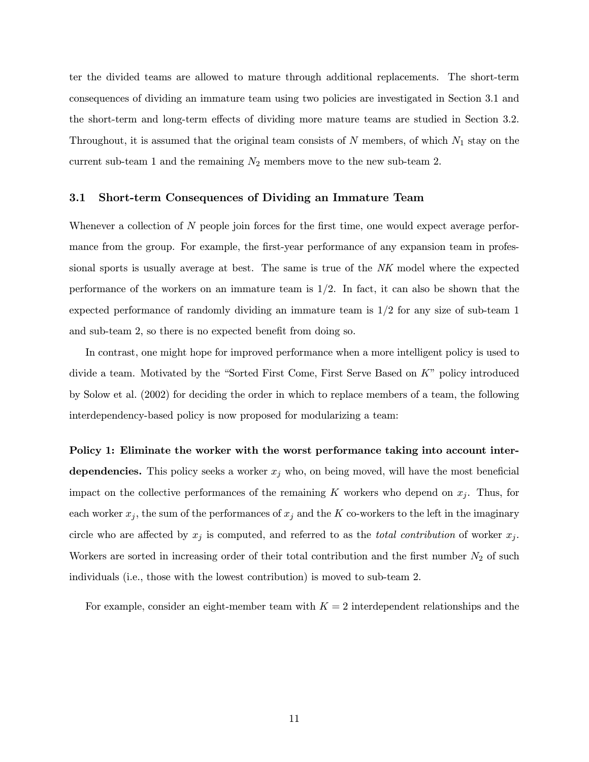ter the divided teams are allowed to mature through additional replacements. The short-term consequences of dividing an immature team using two policies are investigated in Section 3.1 and the short-term and long-term effects of dividing more mature teams are studied in Section 3.2. Throughout, it is assumed that the original team consists of  $N$  members, of which  $N_1$  stay on the current sub-team 1 and the remaining  $N_2$  members move to the new sub-team 2.

#### 3.1 Short-term Consequences of Dividing an Immature Team

Whenever a collection of N people join forces for the first time, one would expect average performance from the group. For example, the first-year performance of any expansion team in professional sports is usually average at best. The same is true of the NK model where the expected performance of the workers on an immature team is  $1/2$ . In fact, it can also be shown that the expected performance of randomly dividing an immature team is  $1/2$  for any size of sub-team 1 and sub-team 2, so there is no expected benefit from doing so.

In contrast, one might hope for improved performance when a more intelligent policy is used to divide a team. Motivated by the "Sorted First Come, First Serve Based on K" policy introduced by Solow et al. (2002) for deciding the order in which to replace members of a team, the following interdependency-based policy is now proposed for modularizing a team:

Policy 1: Eliminate the worker with the worst performance taking into account interdependencies. This policy seeks a worker  $x_j$  who, on being moved, will have the most beneficial impact on the collective performances of the remaining K workers who depend on  $x_j$ . Thus, for each worker  $x_j$ , the sum of the performances of  $x_j$  and the K co-workers to the left in the imaginary circle who are affected by  $x_j$  is computed, and referred to as the *total contribution* of worker  $x_j$ . Workers are sorted in increasing order of their total contribution and the first number  $N_2$  of such individuals (i.e., those with the lowest contribution) is moved to sub-team 2.

For example, consider an eight-member team with  $K = 2$  interdependent relationships and the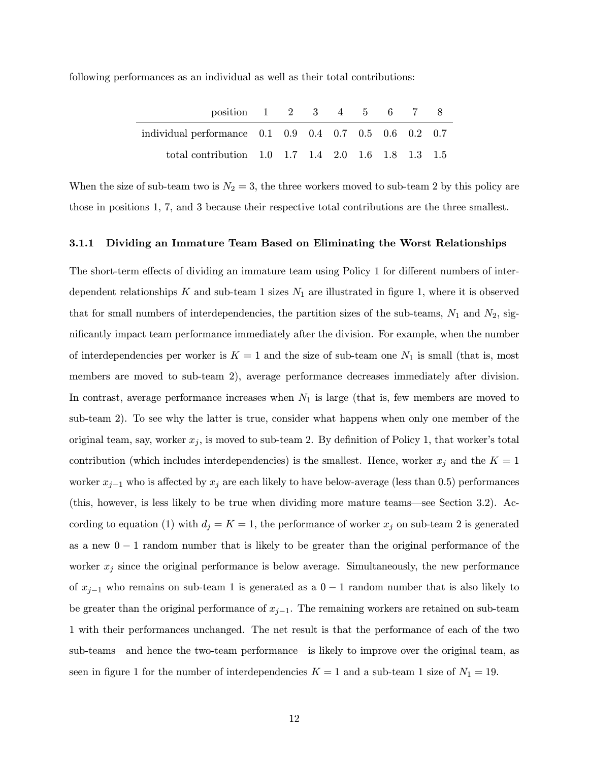following performances as an individual as well as their total contributions:

| position 1 2 3 4 5 6 7                                 |  |  |  |  |
|--------------------------------------------------------|--|--|--|--|
| individual performance 0.1 0.9 0.4 0.7 0.5 0.6 0.2 0.7 |  |  |  |  |
| total contribution 1.0 1.7 1.4 2.0 1.6 1.8 1.3 1.5     |  |  |  |  |

When the size of sub-team two is  $N_2 = 3$ , the three workers moved to sub-team 2 by this policy are those in positions 1, 7, and 3 because their respective total contributions are the three smallest.

#### 3.1.1 Dividing an Immature Team Based on Eliminating the Worst Relationships

The short-term effects of dividing an immature team using Policy 1 for different numbers of interdependent relationships K and sub-team 1 sizes  $N_1$  are illustrated in figure 1, where it is observed that for small numbers of interdependencies, the partition sizes of the sub-teams,  $N_1$  and  $N_2$ , significantly impact team performance immediately after the division. For example, when the number of interdependencies per worker is  $K = 1$  and the size of sub-team one  $N_1$  is small (that is, most members are moved to sub-team 2), average performance decreases immediately after division. In contrast, average performance increases when  $N_1$  is large (that is, few members are moved to sub-team 2). To see why the latter is true, consider what happens when only one member of the original team, say, worker  $x_j$ , is moved to sub-team 2. By definition of Policy 1, that worker's total contribution (which includes interdependencies) is the smallest. Hence, worker  $x_j$  and the  $K = 1$ worker  $x_{j-1}$  who is affected by  $x_j$  are each likely to have below-average (less than 0.5) performances (this, however, is less likely to be true when dividing more mature teams–see Section 3.2). According to equation (1) with  $d_j = K = 1$ , the performance of worker  $x_j$  on sub-team 2 is generated as a new  $0 - 1$  random number that is likely to be greater than the original performance of the worker  $x_j$  since the original performance is below average. Simultaneously, the new performance of  $x_{j-1}$  who remains on sub-team 1 is generated as a 0 − 1 random number that is also likely to be greater than the original performance of  $x_{j-1}$ . The remaining workers are retained on sub-team 1 with their performances unchanged. The net result is that the performance of each of the two sub-teams–and hence the two-team performance–is likely to improve over the original team, as seen in figure 1 for the number of interdependencies  $K = 1$  and a sub-team 1 size of  $N_1 = 19$ .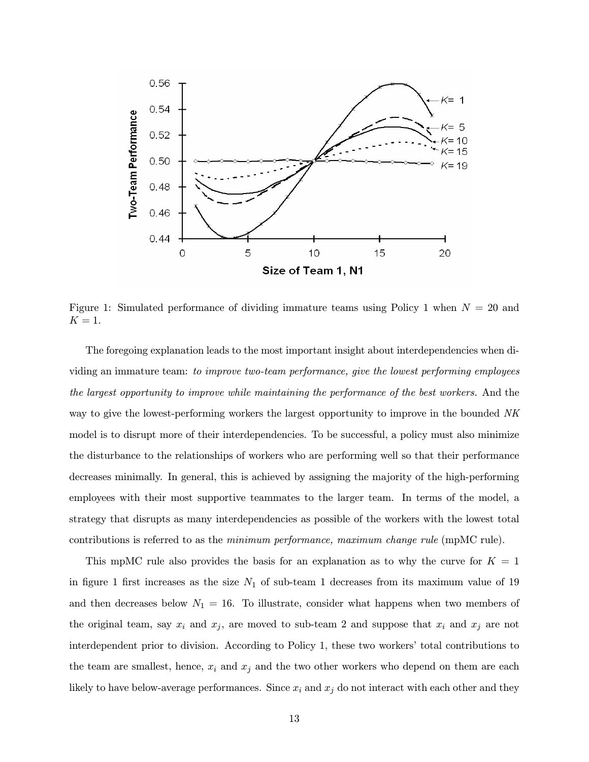

Figure 1: Simulated performance of dividing immature teams using Policy 1 when  $N = 20$  and  $K=1$ .

The foregoing explanation leads to the most important insight about interdependencies when dividing an immature team: to improve two-team performance, give the lowest performing employees the largest opportunity to improve while maintaining the performance of the best workers. And the way to give the lowest-performing workers the largest opportunity to improve in the bounded NK model is to disrupt more of their interdependencies. To be successful, a policy must also minimize the disturbance to the relationships of workers who are performing well so that their performance decreases minimally. In general, this is achieved by assigning the majority of the high-performing employees with their most supportive teammates to the larger team. In terms of the model, a strategy that disrupts as many interdependencies as possible of the workers with the lowest total contributions is referred to as the minimum performance, maximum change rule (mpMC rule).

This mpMC rule also provides the basis for an explanation as to why the curve for  $K = 1$ in figure 1 first increases as the size  $N_1$  of sub-team 1 decreases from its maximum value of 19 and then decreases below  $N_1 = 16$ . To illustrate, consider what happens when two members of the original team, say  $x_i$  and  $x_j$ , are moved to sub-team 2 and suppose that  $x_i$  and  $x_j$  are not interdependent prior to division. According to Policy 1, these two workers' total contributions to the team are smallest, hence,  $x_i$  and  $x_j$  and the two other workers who depend on them are each likely to have below-average performances. Since  $x_i$  and  $x_j$  do not interact with each other and they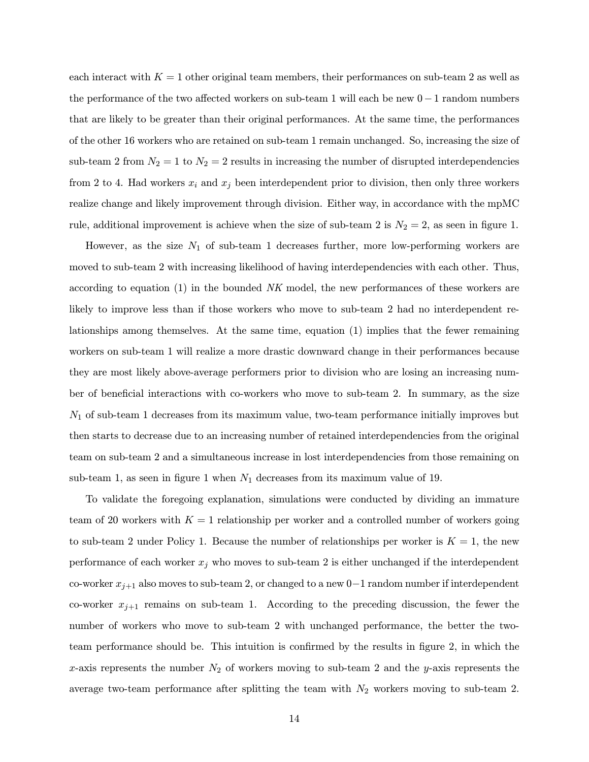each interact with  $K = 1$  other original team members, their performances on sub-team 2 as well as the performance of the two affected workers on sub-team 1 will each be new 0−1 random numbers that are likely to be greater than their original performances. At the same time, the performances of the other 16 workers who are retained on sub-team 1 remain unchanged. So, increasing the size of sub-team 2 from  $N_2 = 1$  to  $N_2 = 2$  results in increasing the number of disrupted interdependencies from 2 to 4. Had workers  $x_i$  and  $x_j$  been interdependent prior to division, then only three workers realize change and likely improvement through division. Either way, in accordance with the mpMC rule, additional improvement is achieve when the size of sub-team 2 is  $N_2 = 2$ , as seen in figure 1.

However, as the size  $N_1$  of sub-team 1 decreases further, more low-performing workers are moved to sub-team 2 with increasing likelihood of having interdependencies with each other. Thus, according to equation  $(1)$  in the bounded NK model, the new performances of these workers are likely to improve less than if those workers who move to sub-team 2 had no interdependent relationships among themselves. At the same time, equation (1) implies that the fewer remaining workers on sub-team 1 will realize a more drastic downward change in their performances because they are most likely above-average performers prior to division who are losing an increasing number of beneficial interactions with co-workers who move to sub-team 2. In summary, as the size  $N_1$  of sub-team 1 decreases from its maximum value, two-team performance initially improves but then starts to decrease due to an increasing number of retained interdependencies from the original team on sub-team 2 and a simultaneous increase in lost interdependencies from those remaining on sub-team 1, as seen in figure 1 when  $N_1$  decreases from its maximum value of 19.

To validate the foregoing explanation, simulations were conducted by dividing an immature team of 20 workers with  $K = 1$  relationship per worker and a controlled number of workers going to sub-team 2 under Policy 1. Because the number of relationships per worker is  $K = 1$ , the new performance of each worker  $x_j$  who moves to sub-team 2 is either unchanged if the interdependent co-worker  $x_{j+1}$  also moves to sub-team 2, or changed to a new 0–1 random number if interdependent co-worker  $x_{j+1}$  remains on sub-team 1. According to the preceding discussion, the fewer the number of workers who move to sub-team 2 with unchanged performance, the better the twoteam performance should be. This intuition is confirmed by the results in figure 2, in which the x-axis represents the number  $N_2$  of workers moving to sub-team 2 and the y-axis represents the average two-team performance after splitting the team with  $N_2$  workers moving to sub-team 2.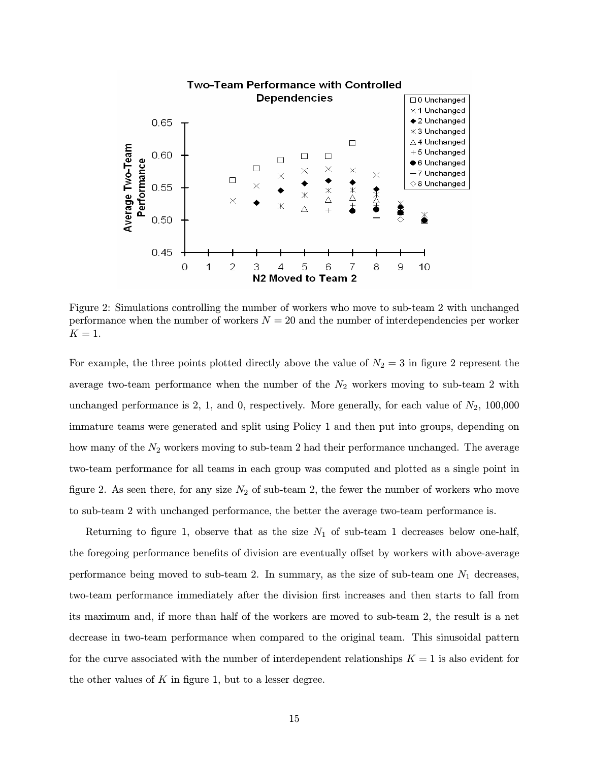

Figure 2: Simulations controlling the number of workers who move to sub-team 2 with unchanged performance when the number of workers  $N = 20$  and the number of interdependencies per worker  $K = 1$ .

For example, the three points plotted directly above the value of  $N_2 = 3$  in figure 2 represent the average two-team performance when the number of the  $N_2$  workers moving to sub-team 2 with unchanged performance is 2, 1, and 0, respectively. More generally, for each value of  $N_2$ , 100,000 immature teams were generated and split using Policy 1 and then put into groups, depending on how many of the  $N_2$  workers moving to sub-team 2 had their performance unchanged. The average two-team performance for all teams in each group was computed and plotted as a single point in figure 2. As seen there, for any size  $N_2$  of sub-team 2, the fewer the number of workers who move to sub-team 2 with unchanged performance, the better the average two-team performance is.

Returning to figure 1, observe that as the size  $N_1$  of sub-team 1 decreases below one-half, the foregoing performance benefits of division are eventually offset by workers with above-average performance being moved to sub-team 2. In summary, as the size of sub-team one  $N_1$  decreases, two-team performance immediately after the division first increases and then starts to fall from its maximum and, if more than half of the workers are moved to sub-team 2, the result is a net decrease in two-team performance when compared to the original team. This sinusoidal pattern for the curve associated with the number of interdependent relationships  $K = 1$  is also evident for the other values of  $K$  in figure 1, but to a lesser degree.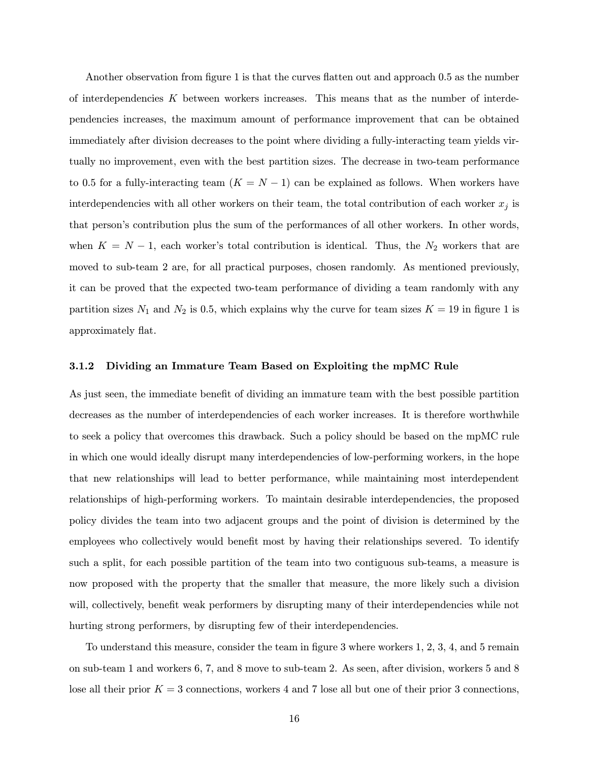Another observation from figure 1 is that the curves flatten out and approach 0.5 as the number of interdependencies  $K$  between workers increases. This means that as the number of interdependencies increases, the maximum amount of performance improvement that can be obtained immediately after division decreases to the point where dividing a fully-interacting team yields virtually no improvement, even with the best partition sizes. The decrease in two-team performance to 0.5 for a fully-interacting team  $(K = N - 1)$  can be explained as follows. When workers have interdependencies with all other workers on their team, the total contribution of each worker  $x_j$  is that person's contribution plus the sum of the performances of all other workers. In other words, when  $K = N - 1$ , each worker's total contribution is identical. Thus, the  $N_2$  workers that are moved to sub-team 2 are, for all practical purposes, chosen randomly. As mentioned previously, it can be proved that the expected two-team performance of dividing a team randomly with any partition sizes  $N_1$  and  $N_2$  is 0.5, which explains why the curve for team sizes  $K = 19$  in figure 1 is approximately flat.

#### 3.1.2 Dividing an Immature Team Based on Exploiting the mpMC Rule

As just seen, the immediate benefit of dividing an immature team with the best possible partition decreases as the number of interdependencies of each worker increases. It is therefore worthwhile to seek a policy that overcomes this drawback. Such a policy should be based on the mpMC rule in which one would ideally disrupt many interdependencies of low-performing workers, in the hope that new relationships will lead to better performance, while maintaining most interdependent relationships of high-performing workers. To maintain desirable interdependencies, the proposed policy divides the team into two adjacent groups and the point of division is determined by the employees who collectively would benefit most by having their relationships severed. To identify such a split, for each possible partition of the team into two contiguous sub-teams, a measure is now proposed with the property that the smaller that measure, the more likely such a division will, collectively, benefit weak performers by disrupting many of their interdependencies while not hurting strong performers, by disrupting few of their interdependencies.

To understand this measure, consider the team in figure 3 where workers 1, 2, 3, 4, and 5 remain on sub-team 1 and workers 6, 7, and 8 move to sub-team 2. As seen, after division, workers 5 and 8 lose all their prior  $K = 3$  connections, workers 4 and 7 lose all but one of their prior 3 connections,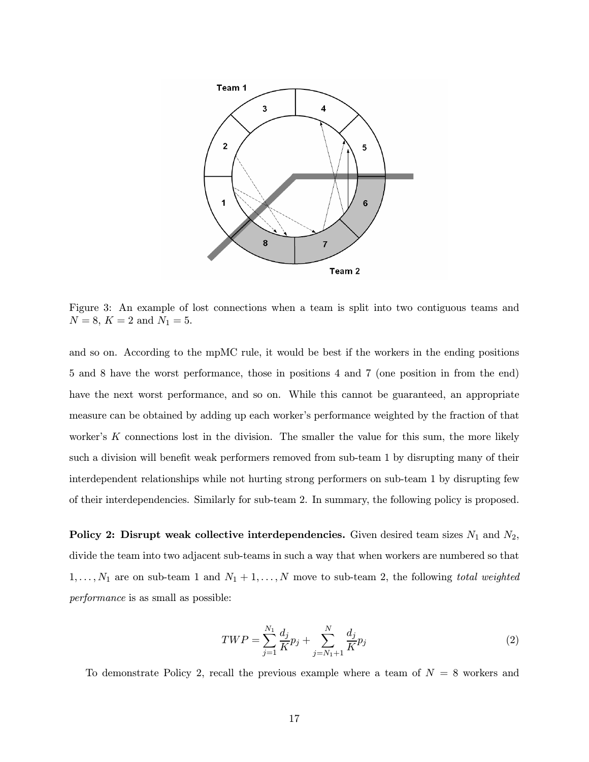

Figure 3: An example of lost connections when a team is split into two contiguous teams and  $N = 8, K = 2$  and  $N_1 = 5$ .

and so on. According to the mpMC rule, it would be best if the workers in the ending positions 5 and 8 have the worst performance, those in positions 4 and 7 (one position in from the end) have the next worst performance, and so on. While this cannot be guaranteed, an appropriate measure can be obtained by adding up each worker's performance weighted by the fraction of that worker's  $K$  connections lost in the division. The smaller the value for this sum, the more likely such a division will benefit weak performers removed from sub-team 1 by disrupting many of their interdependent relationships while not hurting strong performers on sub-team 1 by disrupting few of their interdependencies. Similarly for sub-team 2. In summary, the following policy is proposed.

Policy 2: Disrupt weak collective interdependencies. Given desired team sizes  $N_1$  and  $N_2$ , divide the team into two adjacent sub-teams in such a way that when workers are numbered so that  $1,\ldots,N_1$  are on sub-team 1 and  $N_1+1,\ldots,N$  move to sub-team 2, the following total weighted performance is as small as possible:

$$
TWP = \sum_{j=1}^{N_1} \frac{d_j}{K} p_j + \sum_{j=N_1+1}^{N} \frac{d_j}{K} p_j \tag{2}
$$

To demonstrate Policy 2, recall the previous example where a team of  $N = 8$  workers and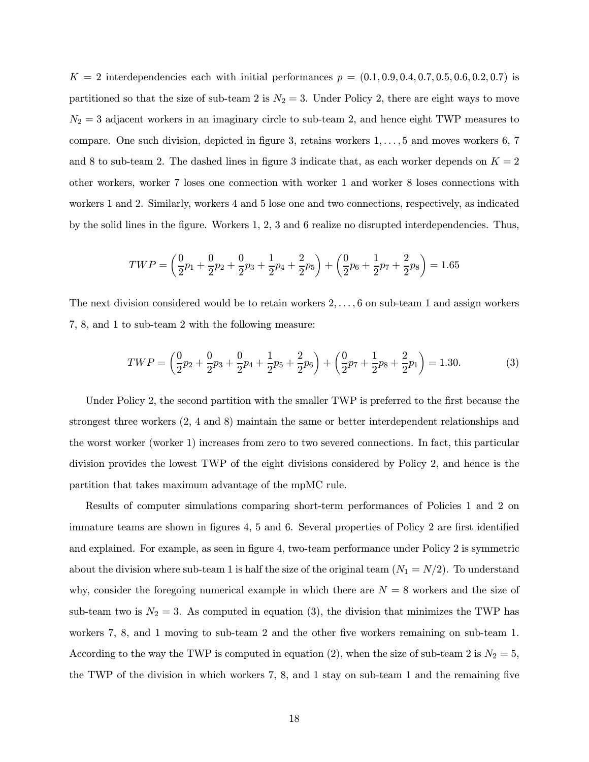$K = 2$  interdependencies each with initial performances  $p = (0.1, 0.9, 0.4, 0.7, 0.5, 0.6, 0.2, 0.7)$  is partitioned so that the size of sub-team 2 is  $N_2 = 3$ . Under Policy 2, there are eight ways to move  $N_2 = 3$  adjacent workers in an imaginary circle to sub-team 2, and hence eight TWP measures to compare. One such division, depicted in figure 3, retains workers 1,..., 5 and moves workers 6, 7 and 8 to sub-team 2. The dashed lines in figure 3 indicate that, as each worker depends on  $K = 2$ other workers, worker 7 loses one connection with worker 1 and worker 8 loses connections with workers 1 and 2. Similarly, workers 4 and 5 lose one and two connections, respectively, as indicated by the solid lines in the figure. Workers 1, 2, 3 and 6 realize no disrupted interdependencies. Thus,

$$
TWP = \left(\frac{0}{2}p_1 + \frac{0}{2}p_2 + \frac{0}{2}p_3 + \frac{1}{2}p_4 + \frac{2}{2}p_5\right) + \left(\frac{0}{2}p_6 + \frac{1}{2}p_7 + \frac{2}{2}p_8\right) = 1.65
$$

The next division considered would be to retain workers 2,..., 6 on sub-team 1 and assign workers 7, 8, and 1 to sub-team 2 with the following measure:

$$
TWP = \left(\frac{0}{2}p_2 + \frac{0}{2}p_3 + \frac{0}{2}p_4 + \frac{1}{2}p_5 + \frac{2}{2}p_6\right) + \left(\frac{0}{2}p_7 + \frac{1}{2}p_8 + \frac{2}{2}p_1\right) = 1.30.
$$
 (3)

Under Policy 2, the second partition with the smaller TWP is preferred to the first because the strongest three workers (2, 4 and 8) maintain the same or better interdependent relationships and the worst worker (worker 1) increases from zero to two severed connections. In fact, this particular division provides the lowest TWP of the eight divisions considered by Policy 2, and hence is the partition that takes maximum advantage of the mpMC rule.

Results of computer simulations comparing short-term performances of Policies 1 and 2 on immature teams are shown in figures 4, 5 and 6. Several properties of Policy 2 are first identified and explained. For example, as seen in figure 4, two-team performance under Policy 2 is symmetric about the division where sub-team 1 is half the size of the original team  $(N_1 = N/2)$ . To understand why, consider the foregoing numerical example in which there are  $N = 8$  workers and the size of sub-team two is  $N_2 = 3$ . As computed in equation (3), the division that minimizes the TWP has workers 7, 8, and 1 moving to sub-team 2 and the other five workers remaining on sub-team 1. According to the way the TWP is computed in equation (2), when the size of sub-team 2 is  $N_2 = 5$ , the TWP of the division in which workers 7, 8, and 1 stay on sub-team 1 and the remaining five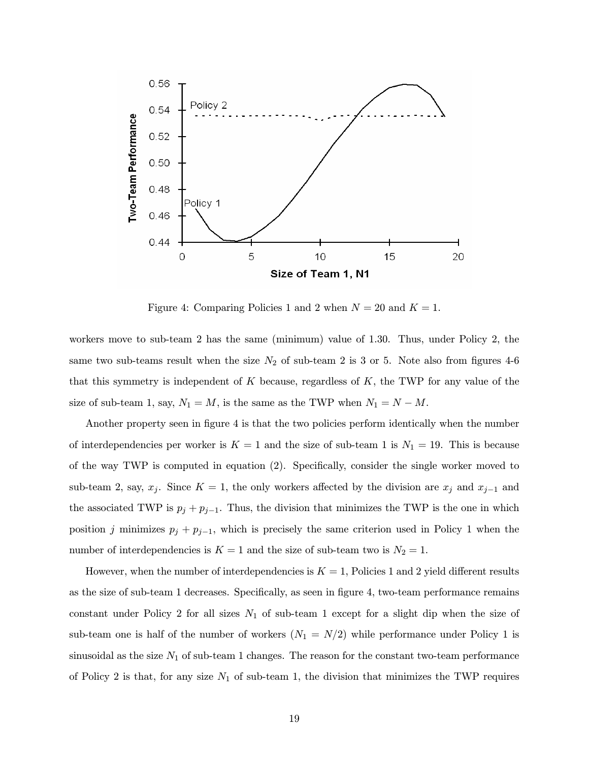

Figure 4: Comparing Policies 1 and 2 when  $N = 20$  and  $K = 1$ .

workers move to sub-team 2 has the same (minimum) value of 1.30. Thus, under Policy 2, the same two sub-teams result when the size  $N_2$  of sub-team 2 is 3 or 5. Note also from figures 4-6 that this symmetry is independent of K because, regardless of  $K$ , the TWP for any value of the size of sub-team 1, say,  $N_1 = M$ , is the same as the TWP when  $N_1 = N - M$ .

Another property seen in figure 4 is that the two policies perform identically when the number of interdependencies per worker is  $K = 1$  and the size of sub-team 1 is  $N_1 = 19$ . This is because of the way TWP is computed in equation (2). Specifically, consider the single worker moved to sub-team 2, say,  $x_j$ . Since  $K = 1$ , the only workers affected by the division are  $x_j$  and  $x_{j-1}$  and the associated TWP is  $p_j + p_{j-1}$ . Thus, the division that minimizes the TWP is the one in which position j minimizes  $p_j + p_{j-1}$ , which is precisely the same criterion used in Policy 1 when the number of interdependencies is  $K = 1$  and the size of sub-team two is  $N_2 = 1$ .

However, when the number of interdependencies is  $K = 1$ , Policies 1 and 2 yield different results as the size of sub-team 1 decreases. Specifically, as seen in figure 4, two-team performance remains constant under Policy 2 for all sizes  $N_1$  of sub-team 1 except for a slight dip when the size of sub-team one is half of the number of workers  $(N_1 = N/2)$  while performance under Policy 1 is sinusoidal as the size  $N_1$  of sub-team 1 changes. The reason for the constant two-team performance of Policy 2 is that, for any size  $N_1$  of sub-team 1, the division that minimizes the TWP requires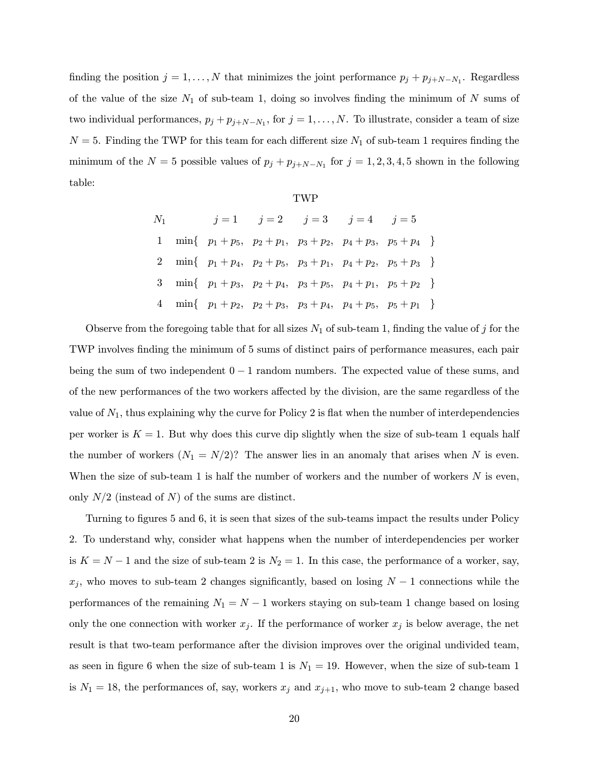finding the position  $j = 1, ..., N$  that minimizes the joint performance  $p_j + p_{j+N-N_1}$ . Regardless of the value of the size  $N_1$  of sub-team 1, doing so involves finding the minimum of N sums of two individual performances,  $p_j + p_{j+N-N_1}$ , for  $j = 1, ..., N$ . To illustrate, consider a team of size  $N = 5$ . Finding the TWP for this team for each different size  $N_1$  of sub-team 1 requires finding the minimum of the  $N = 5$  possible values of  $p_j + p_{j+N-N_1}$  for  $j = 1, 2, 3, 4, 5$  shown in the following table:

|--|--|

| $N_1$ |  | $j = 1$ $j = 2$ $j = 3$ $j = 4$ $j = 5$                                      |  |  |
|-------|--|------------------------------------------------------------------------------|--|--|
|       |  | 1 min{ $p_1 + p_5$ , $p_2 + p_1$ , $p_3 + p_2$ , $p_4 + p_3$ , $p_5 + p_4$ } |  |  |
|       |  | 2 min{ $p_1 + p_4$ , $p_2 + p_5$ , $p_3 + p_1$ , $p_4 + p_2$ , $p_5 + p_3$ } |  |  |
|       |  | 3 min{ $p_1 + p_3$ , $p_2 + p_4$ , $p_3 + p_5$ , $p_4 + p_1$ , $p_5 + p_2$ } |  |  |
|       |  | 4 min{ $p_1 + p_2$ , $p_2 + p_3$ , $p_3 + p_4$ , $p_4 + p_5$ , $p_5 + p_1$ } |  |  |

Observe from the foregoing table that for all sizes  $N_1$  of sub-team 1, finding the value of j for the TWP involves finding the minimum of 5 sums of distinct pairs of performance measures, each pair being the sum of two independent  $0 - 1$  random numbers. The expected value of these sums, and of the new performances of the two workers affected by the division, are the same regardless of the value of  $N_1$ , thus explaining why the curve for Policy 2 is flat when the number of interdependencies per worker is  $K = 1$ . But why does this curve dip slightly when the size of sub-team 1 equals half the number of workers  $(N_1 = N/2)$ ? The answer lies in an anomaly that arises when N is even. When the size of sub-team 1 is half the number of workers and the number of workers  $N$  is even, only  $N/2$  (instead of N) of the sums are distinct.

Turning to figures 5 and 6, it is seen that sizes of the sub-teams impact the results under Policy 2. To understand why, consider what happens when the number of interdependencies per worker is  $K = N - 1$  and the size of sub-team 2 is  $N_2 = 1$ . In this case, the performance of a worker, say,  $x_j$ , who moves to sub-team 2 changes significantly, based on losing  $N-1$  connections while the performances of the remaining  $N_1 = N - 1$  workers staying on sub-team 1 change based on losing only the one connection with worker  $x_j$ . If the performance of worker  $x_j$  is below average, the net result is that two-team performance after the division improves over the original undivided team, as seen in figure 6 when the size of sub-team 1 is  $N_1 = 19$ . However, when the size of sub-team 1 is  $N_1 = 18$ , the performances of, say, workers  $x_j$  and  $x_{j+1}$ , who move to sub-team 2 change based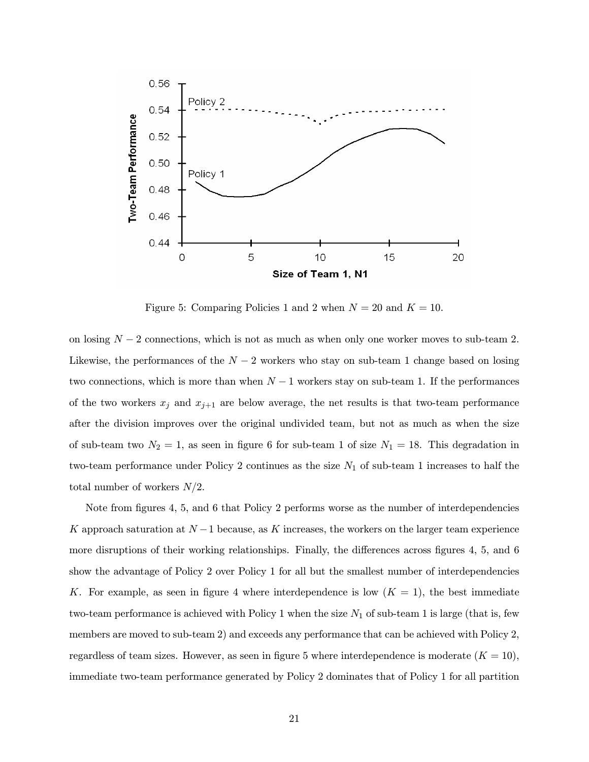

Figure 5: Comparing Policies 1 and 2 when  $N = 20$  and  $K = 10$ .

on losing  $N-2$  connections, which is not as much as when only one worker moves to sub-team 2. Likewise, the performances of the  $N-2$  workers who stay on sub-team 1 change based on losing two connections, which is more than when  $N-1$  workers stay on sub-team 1. If the performances of the two workers  $x_j$  and  $x_{j+1}$  are below average, the net results is that two-team performance after the division improves over the original undivided team, but not as much as when the size of sub-team two  $N_2 = 1$ , as seen in figure 6 for sub-team 1 of size  $N_1 = 18$ . This degradation in two-team performance under Policy 2 continues as the size  $N_1$  of sub-team 1 increases to half the total number of workers  $N/2$ .

Note from figures 4, 5, and 6 that Policy 2 performs worse as the number of interdependencies K approach saturation at  $N-1$  because, as K increases, the workers on the larger team experience more disruptions of their working relationships. Finally, the differences across figures 4, 5, and 6 show the advantage of Policy 2 over Policy 1 for all but the smallest number of interdependencies K. For example, as seen in figure 4 where interdependence is low  $(K = 1)$ , the best immediate two-team performance is achieved with Policy 1 when the size  $N_1$  of sub-team 1 is large (that is, few members are moved to sub-team 2) and exceeds any performance that can be achieved with Policy 2, regardless of team sizes. However, as seen in figure 5 where interdependence is moderate  $(K = 10)$ , immediate two-team performance generated by Policy 2 dominates that of Policy 1 for all partition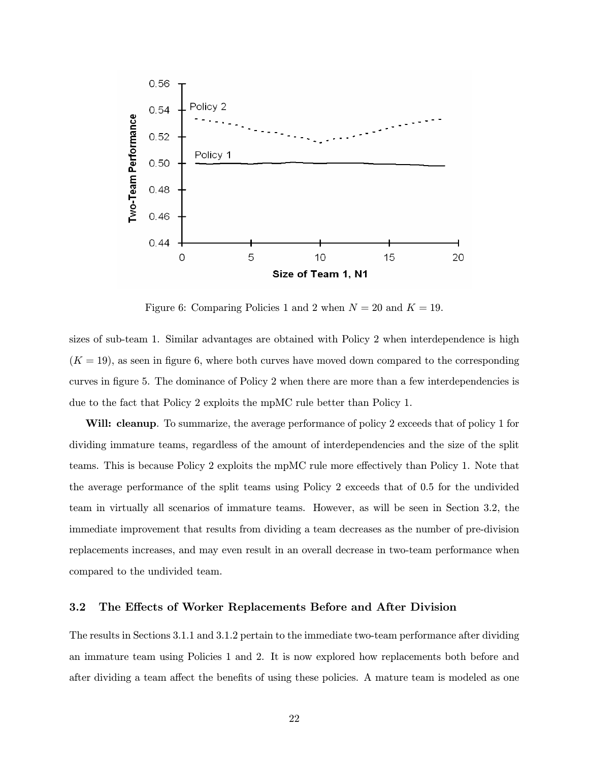

Figure 6: Comparing Policies 1 and 2 when  $N = 20$  and  $K = 19$ .

sizes of sub-team 1. Similar advantages are obtained with Policy 2 when interdependence is high  $(K = 19)$ , as seen in figure 6, where both curves have moved down compared to the corresponding curves in figure 5. The dominance of Policy 2 when there are more than a few interdependencies is due to the fact that Policy 2 exploits the mpMC rule better than Policy 1.

Will: cleanup. To summarize, the average performance of policy 2 exceeds that of policy 1 for dividing immature teams, regardless of the amount of interdependencies and the size of the split teams. This is because Policy 2 exploits the mpMC rule more effectively than Policy 1. Note that the average performance of the split teams using Policy 2 exceeds that of 0.5 for the undivided team in virtually all scenarios of immature teams. However, as will be seen in Section 3.2, the immediate improvement that results from dividing a team decreases as the number of pre-division replacements increases, and may even result in an overall decrease in two-team performance when compared to the undivided team.

### 3.2 The Effects of Worker Replacements Before and After Division

The results in Sections 3.1.1 and 3.1.2 pertain to the immediate two-team performance after dividing an immature team using Policies 1 and 2. It is now explored how replacements both before and after dividing a team affect the benefits of using these policies. A mature team is modeled as one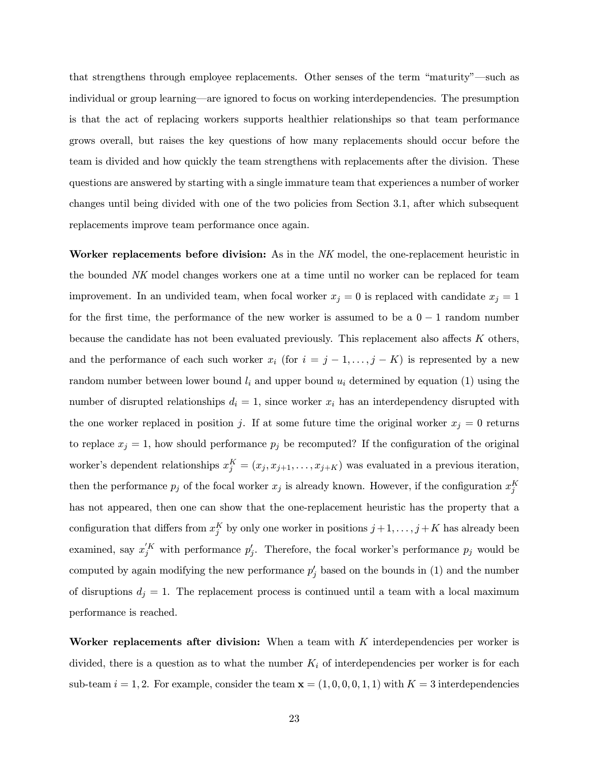that strengthens through employee replacements. Other senses of the term "maturity"–such as individual or group learning–are ignored to focus on working interdependencies. The presumption is that the act of replacing workers supports healthier relationships so that team performance grows overall, but raises the key questions of how many replacements should occur before the team is divided and how quickly the team strengthens with replacements after the division. These questions are answered by starting with a single immature team that experiences a number of worker changes until being divided with one of the two policies from Section 3.1, after which subsequent replacements improve team performance once again.

Worker replacements before division: As in the NK model, the one-replacement heuristic in the bounded NK model changes workers one at a time until no worker can be replaced for team improvement. In an undivided team, when focal worker  $x_j = 0$  is replaced with candidate  $x_j = 1$ for the first time, the performance of the new worker is assumed to be a  $0 - 1$  random number because the candidate has not been evaluated previously. This replacement also affects K others, and the performance of each such worker  $x_i$  (for  $i = j - 1, \ldots, j - K$ ) is represented by a new random number between lower bound  $l_i$  and upper bound  $u_i$  determined by equation (1) using the number of disrupted relationships  $d_i = 1$ , since worker  $x_i$  has an interdependency disrupted with the one worker replaced in position j. If at some future time the original worker  $x_j = 0$  returns to replace  $x_j = 1$ , how should performance  $p_j$  be recomputed? If the configuration of the original worker's dependent relationships  $x_j^K = (x_j, x_{j+1}, \ldots, x_{j+K})$  was evaluated in a previous iteration, then the performance  $p_j$  of the focal worker  $x_j$  is already known. However, if the configuration  $x_j^K$ has not appeared, then one can show that the one-replacement heuristic has the property that a configuration that differs from  $x_j^K$  by only one worker in positions  $j+1,\ldots,j+K$  has already been examined, say  $x_j^{'K}$  with performance  $p_j'$ . Therefore, the focal worker's performance  $p_j$  would be computed by again modifying the new performance  $p'_j$  based on the bounds in (1) and the number of disruptions  $d_j = 1$ . The replacement process is continued until a team with a local maximum performance is reached.

Worker replacements after division: When a team with  $K$  interdependencies per worker is divided, there is a question as to what the number  $K_i$  of interdependencies per worker is for each sub-team  $i = 1, 2$ . For example, consider the team  $\mathbf{x} = (1, 0, 0, 0, 1, 1)$  with  $K = 3$  interdependencies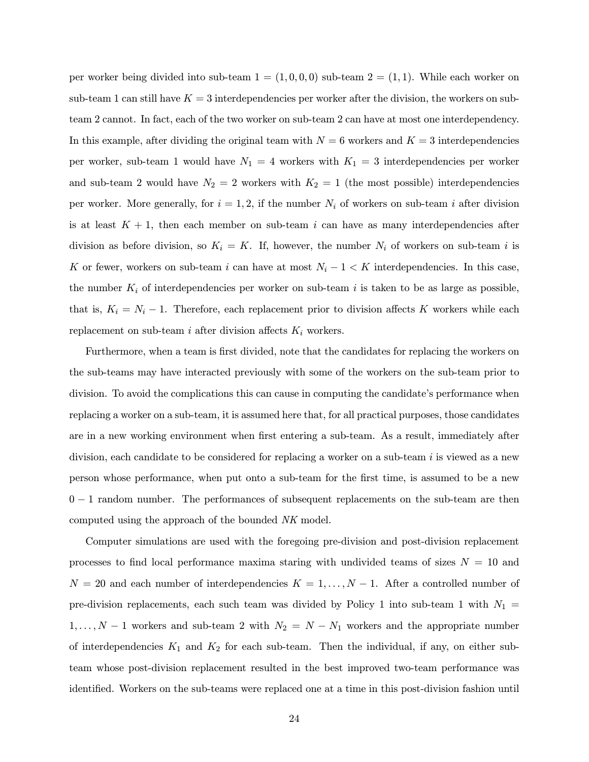per worker being divided into sub-team  $1 = (1, 0, 0, 0)$  sub-team  $2 = (1, 1)$ . While each worker on sub-team 1 can still have  $K = 3$  interdependencies per worker after the division, the workers on subteam 2 cannot. In fact, each of the two worker on sub-team 2 can have at most one interdependency. In this example, after dividing the original team with  $N = 6$  workers and  $K = 3$  interdependencies per worker, sub-team 1 would have  $N_1 = 4$  workers with  $K_1 = 3$  interdependencies per worker and sub-team 2 would have  $N_2 = 2$  workers with  $K_2 = 1$  (the most possible) interdependencies per worker. More generally, for  $i = 1, 2$ , if the number  $N_i$  of workers on sub-team i after division is at least  $K + 1$ , then each member on sub-team i can have as many interdependencies after division as before division, so  $K_i = K$ . If, however, the number  $N_i$  of workers on sub-team i is K or fewer, workers on sub-team i can have at most  $N_i - 1 < K$  interdependencies. In this case, the number  $K_i$  of interdependencies per worker on sub-team i is taken to be as large as possible, that is,  $K_i = N_i - 1$ . Therefore, each replacement prior to division affects K workers while each replacement on sub-team i after division affects  $K_i$  workers.

Furthermore, when a team is first divided, note that the candidates for replacing the workers on the sub-teams may have interacted previously with some of the workers on the sub-team prior to division. To avoid the complications this can cause in computing the candidate's performance when replacing a worker on a sub-team, it is assumed here that, for all practical purposes, those candidates are in a new working environment when first entering a sub-team. As a result, immediately after division, each candidate to be considered for replacing a worker on a sub-team  $i$  is viewed as a new person whose performance, when put onto a sub-team for the first time, is assumed to be a new 0 − 1 random number. The performances of subsequent replacements on the sub-team are then computed using the approach of the bounded NK model.

Computer simulations are used with the foregoing pre-division and post-division replacement processes to find local performance maxima staring with undivided teams of sizes  $N = 10$  and  $N = 20$  and each number of interdependencies  $K = 1, \ldots, N - 1$ . After a controlled number of pre-division replacements, each such team was divided by Policy 1 into sub-team 1 with  $N_1$  =  $1, \ldots, N-1$  workers and sub-team 2 with  $N_2 = N - N_1$  workers and the appropriate number of interdependencies  $K_1$  and  $K_2$  for each sub-team. Then the individual, if any, on either subteam whose post-division replacement resulted in the best improved two-team performance was identified. Workers on the sub-teams were replaced one at a time in this post-division fashion until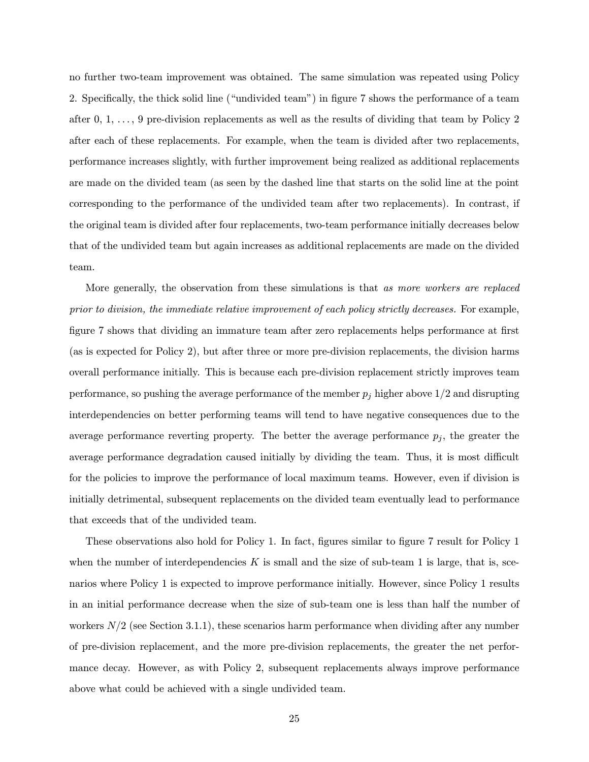no further two-team improvement was obtained. The same simulation was repeated using Policy 2. Specifically, the thick solid line ("undivided team") in figure 7 shows the performance of a team after  $0, 1, \ldots, 9$  pre-division replacements as well as the results of dividing that team by Policy 2 after each of these replacements. For example, when the team is divided after two replacements, performance increases slightly, with further improvement being realized as additional replacements are made on the divided team (as seen by the dashed line that starts on the solid line at the point corresponding to the performance of the undivided team after two replacements). In contrast, if the original team is divided after four replacements, two-team performance initially decreases below that of the undivided team but again increases as additional replacements are made on the divided team.

More generally, the observation from these simulations is that as more workers are replaced prior to division, the immediate relative improvement of each policy strictly decreases. For example, figure 7 shows that dividing an immature team after zero replacements helps performance at first (as is expected for Policy 2), but after three or more pre-division replacements, the division harms overall performance initially. This is because each pre-division replacement strictly improves team performance, so pushing the average performance of the member  $p_i$  higher above  $1/2$  and disrupting interdependencies on better performing teams will tend to have negative consequences due to the average performance reverting property. The better the average performance  $p_j$ , the greater the average performance degradation caused initially by dividing the team. Thus, it is most difficult for the policies to improve the performance of local maximum teams. However, even if division is initially detrimental, subsequent replacements on the divided team eventually lead to performance that exceeds that of the undivided team.

These observations also hold for Policy 1. In fact, figures similar to figure 7 result for Policy 1 when the number of interdependencies  $K$  is small and the size of sub-team 1 is large, that is, scenarios where Policy 1 is expected to improve performance initially. However, since Policy 1 results in an initial performance decrease when the size of sub-team one is less than half the number of workers  $N/2$  (see Section 3.1.1), these scenarios harm performance when dividing after any number of pre-division replacement, and the more pre-division replacements, the greater the net performance decay. However, as with Policy 2, subsequent replacements always improve performance above what could be achieved with a single undivided team.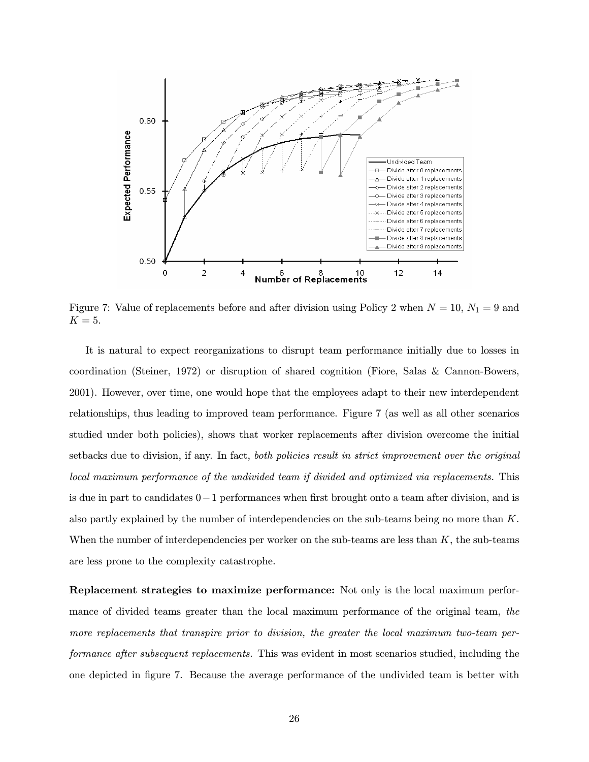

Figure 7: Value of replacements before and after division using Policy 2 when  $N = 10$ ,  $N_1 = 9$  and  $K = 5$ .

It is natural to expect reorganizations to disrupt team performance initially due to losses in coordination (Steiner, 1972) or disruption of shared cognition (Fiore, Salas & Cannon-Bowers, 2001). However, over time, one would hope that the employees adapt to their new interdependent relationships, thus leading to improved team performance. Figure 7 (as well as all other scenarios studied under both policies), shows that worker replacements after division overcome the initial setbacks due to division, if any. In fact, both policies result in strict improvement over the original local maximum performance of the undivided team if divided and optimized via replacements. This is due in part to candidates 0−1 performances when first brought onto a team after division, and is also partly explained by the number of interdependencies on the sub-teams being no more than K. When the number of interdependencies per worker on the sub-teams are less than  $K$ , the sub-teams are less prone to the complexity catastrophe.

Replacement strategies to maximize performance: Not only is the local maximum performance of divided teams greater than the local maximum performance of the original team, the more replacements that transpire prior to division, the greater the local maximum two-team performance after subsequent replacements. This was evident in most scenarios studied, including the one depicted in figure 7. Because the average performance of the undivided team is better with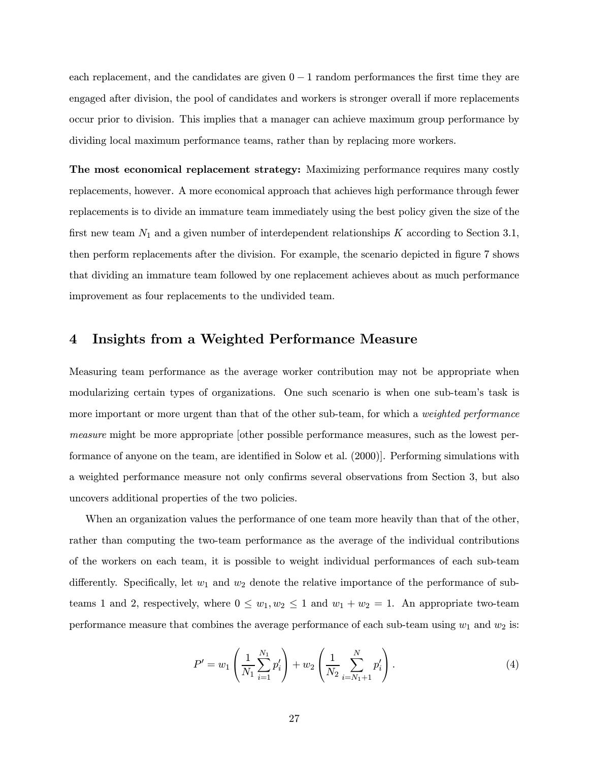each replacement, and the candidates are given  $0 - 1$  random performances the first time they are engaged after division, the pool of candidates and workers is stronger overall if more replacements occur prior to division. This implies that a manager can achieve maximum group performance by dividing local maximum performance teams, rather than by replacing more workers.

The most economical replacement strategy: Maximizing performance requires many costly replacements, however. A more economical approach that achieves high performance through fewer replacements is to divide an immature team immediately using the best policy given the size of the first new team  $N_1$  and a given number of interdependent relationships K according to Section 3.1, then perform replacements after the division. For example, the scenario depicted in figure 7 shows that dividing an immature team followed by one replacement achieves about as much performance improvement as four replacements to the undivided team.

# 4 Insights from a Weighted Performance Measure

Measuring team performance as the average worker contribution may not be appropriate when modularizing certain types of organizations. One such scenario is when one sub-team's task is more important or more urgent than that of the other sub-team, for which a *weighted performance* measure might be more appropriate [other possible performance measures, such as the lowest performance of anyone on the team, are identified in Solow et al. (2000)]. Performing simulations with a weighted performance measure not only confirms several observations from Section 3, but also uncovers additional properties of the two policies.

When an organization values the performance of one team more heavily than that of the other, rather than computing the two-team performance as the average of the individual contributions of the workers on each team, it is possible to weight individual performances of each sub-team differently. Specifically, let  $w_1$  and  $w_2$  denote the relative importance of the performance of subteams 1 and 2, respectively, where  $0 \leq w_1, w_2 \leq 1$  and  $w_1 + w_2 = 1$ . An appropriate two-team performance measure that combines the average performance of each sub-team using  $w_1$  and  $w_2$  is:

$$
P' = w_1 \left( \frac{1}{N_1} \sum_{i=1}^{N_1} p'_i \right) + w_2 \left( \frac{1}{N_2} \sum_{i=N_1+1}^{N} p'_i \right). \tag{4}
$$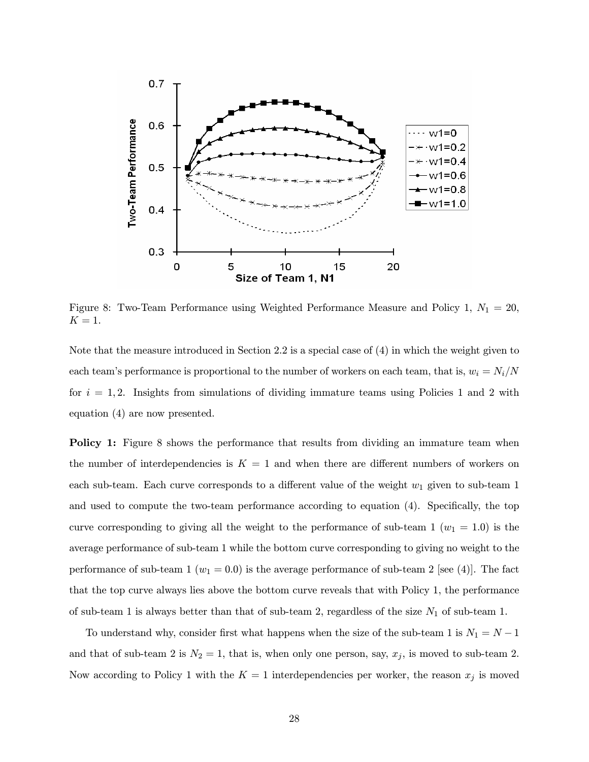

Figure 8: Two-Team Performance using Weighted Performance Measure and Policy 1,  $N_1 = 20$ ,  $K=1$ .

Note that the measure introduced in Section 2.2 is a special case of (4) in which the weight given to each team's performance is proportional to the number of workers on each team, that is,  $w_i = N_i/N$ for  $i = 1, 2$ . Insights from simulations of dividing immature teams using Policies 1 and 2 with equation (4) are now presented.

Policy 1: Figure 8 shows the performance that results from dividing an immature team when the number of interdependencies is  $K = 1$  and when there are different numbers of workers on each sub-team. Each curve corresponds to a different value of the weight  $w_1$  given to sub-team 1 and used to compute the two-team performance according to equation (4). Specifically, the top curve corresponding to giving all the weight to the performance of sub-team 1 ( $w_1 = 1.0$ ) is the average performance of sub-team 1 while the bottom curve corresponding to giving no weight to the performance of sub-team 1 ( $w_1 = 0.0$ ) is the average performance of sub-team 2 [see (4)]. The fact that the top curve always lies above the bottom curve reveals that with Policy 1, the performance of sub-team 1 is always better than that of sub-team 2, regardless of the size  $N_1$  of sub-team 1.

To understand why, consider first what happens when the size of the sub-team 1 is  $N_1 = N - 1$ and that of sub-team 2 is  $N_2 = 1$ , that is, when only one person, say,  $x_j$ , is moved to sub-team 2. Now according to Policy 1 with the  $K = 1$  interdependencies per worker, the reason  $x_j$  is moved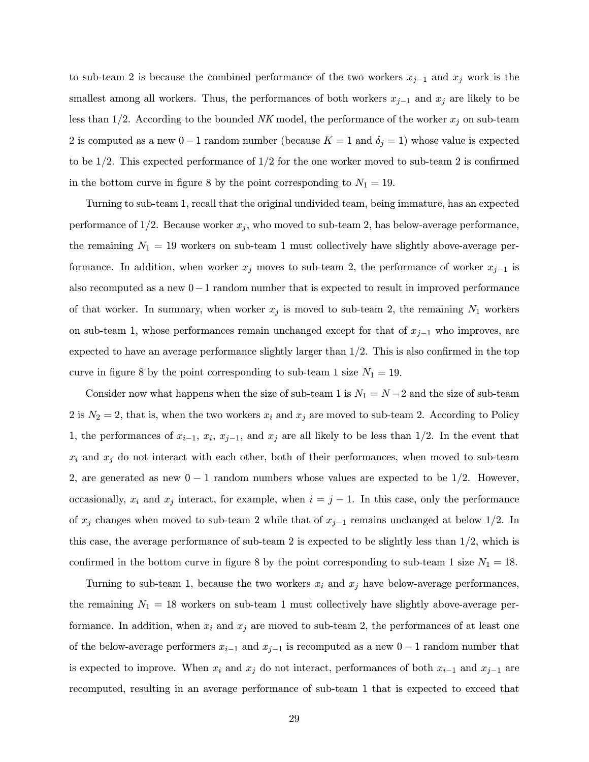to sub-team 2 is because the combined performance of the two workers  $x_{j-1}$  and  $x_j$  work is the smallest among all workers. Thus, the performances of both workers  $x_{j-1}$  and  $x_j$  are likely to be less than 1/2. According to the bounded NK model, the performance of the worker  $x_j$  on sub-team 2 is computed as a new 0 − 1 random number (because  $K = 1$  and  $\delta_j = 1$ ) whose value is expected to be  $1/2$ . This expected performance of  $1/2$  for the one worker moved to sub-team 2 is confirmed in the bottom curve in figure 8 by the point corresponding to  $N_1 = 19$ .

Turning to sub-team 1, recall that the original undivided team, being immature, has an expected performance of  $1/2$ . Because worker  $x_j$ , who moved to sub-team 2, has below-average performance, the remaining  $N_1 = 19$  workers on sub-team 1 must collectively have slightly above-average performance. In addition, when worker  $x_j$  moves to sub-team 2, the performance of worker  $x_{j-1}$  is also recomputed as a new 0−1 random number that is expected to result in improved performance of that worker. In summary, when worker  $x_j$  is moved to sub-team 2, the remaining  $N_1$  workers on sub-team 1, whose performances remain unchanged except for that of  $x_{j-1}$  who improves, are expected to have an average performance slightly larger than  $1/2$ . This is also confirmed in the top curve in figure 8 by the point corresponding to sub-team 1 size  $N_1 = 19$ .

Consider now what happens when the size of sub-team 1 is  $N_1 = N - 2$  and the size of sub-team 2 is  $N_2 = 2$ , that is, when the two workers  $x_i$  and  $x_j$  are moved to sub-team 2. According to Policy 1, the performances of  $x_{i-1}$ ,  $x_i$ ,  $x_{j-1}$ , and  $x_j$  are all likely to be less than 1/2. In the event that  $x_i$  and  $x_j$  do not interact with each other, both of their performances, when moved to sub-team 2, are generated as new  $0 - 1$  random numbers whose values are expected to be  $1/2$ . However, occasionally,  $x_i$  and  $x_j$  interact, for example, when  $i = j - 1$ . In this case, only the performance of  $x_j$  changes when moved to sub-team 2 while that of  $x_{j-1}$  remains unchanged at below 1/2. In this case, the average performance of sub-team 2 is expected to be slightly less than  $1/2$ , which is confirmed in the bottom curve in figure 8 by the point corresponding to sub-team 1 size  $N_1 = 18$ .

Turning to sub-team 1, because the two workers  $x_i$  and  $x_j$  have below-average performances, the remaining  $N_1 = 18$  workers on sub-team 1 must collectively have slightly above-average performance. In addition, when  $x_i$  and  $x_j$  are moved to sub-team 2, the performances of at least one of the below-average performers  $x_{i-1}$  and  $x_{j-1}$  is recomputed as a new  $0-1$  random number that is expected to improve. When  $x_i$  and  $x_j$  do not interact, performances of both  $x_{i-1}$  and  $x_{j-1}$  are recomputed, resulting in an average performance of sub-team 1 that is expected to exceed that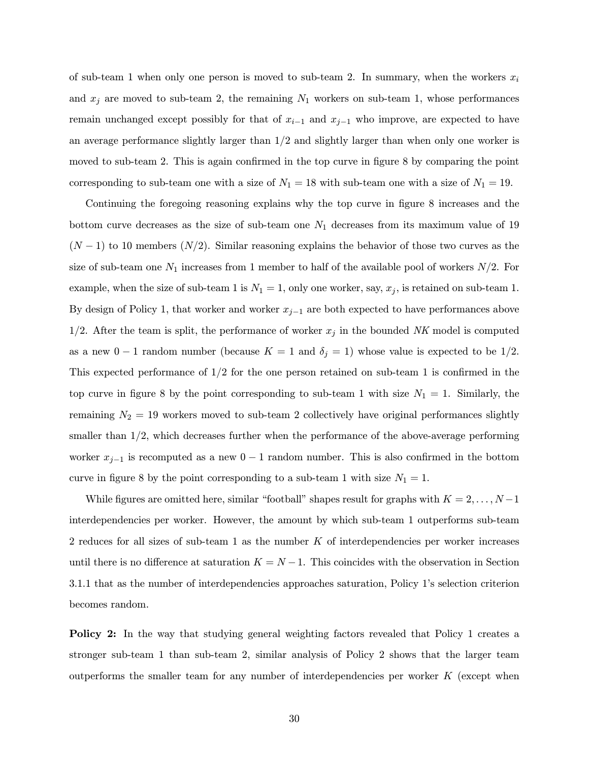of sub-team 1 when only one person is moved to sub-team 2. In summary, when the workers  $x_i$ and  $x_j$  are moved to sub-team 2, the remaining  $N_1$  workers on sub-team 1, whose performances remain unchanged except possibly for that of  $x_{i-1}$  and  $x_{j-1}$  who improve, are expected to have an average performance slightly larger than  $1/2$  and slightly larger than when only one worker is moved to sub-team 2. This is again confirmed in the top curve in figure 8 by comparing the point corresponding to sub-team one with a size of  $N_1 = 18$  with sub-team one with a size of  $N_1 = 19$ .

Continuing the foregoing reasoning explains why the top curve in figure 8 increases and the bottom curve decreases as the size of sub-team one  $N_1$  decreases from its maximum value of 19  $(N-1)$  to 10 members  $(N/2)$ . Similar reasoning explains the behavior of those two curves as the size of sub-team one  $N_1$  increases from 1 member to half of the available pool of workers  $N/2$ . For example, when the size of sub-team 1 is  $N_1 = 1$ , only one worker, say,  $x_j$ , is retained on sub-team 1. By design of Policy 1, that worker and worker  $x_{j-1}$  are both expected to have performances above 1/2. After the team is split, the performance of worker  $x_j$  in the bounded NK model is computed as a new 0 − 1 random number (because  $K = 1$  and  $\delta_j = 1$ ) whose value is expected to be 1/2. This expected performance of 1/2 for the one person retained on sub-team 1 is confirmed in the top curve in figure 8 by the point corresponding to sub-team 1 with size  $N_1 = 1$ . Similarly, the remaining  $N_2 = 19$  workers moved to sub-team 2 collectively have original performances slightly smaller than 1/2, which decreases further when the performance of the above-average performing worker  $x_{j-1}$  is recomputed as a new  $0-1$  random number. This is also confirmed in the bottom curve in figure 8 by the point corresponding to a sub-team 1 with size  $N_1 = 1$ .

While figures are omitted here, similar "football" shapes result for graphs with  $K = 2, \ldots, N-1$ interdependencies per worker. However, the amount by which sub-team 1 outperforms sub-team 2 reduces for all sizes of sub-team  $1$  as the number  $K$  of interdependencies per worker increases until there is no difference at saturation  $K = N - 1$ . This coincides with the observation in Section 3.1.1 that as the number of interdependencies approaches saturation, Policy 1's selection criterion becomes random.

Policy 2: In the way that studying general weighting factors revealed that Policy 1 creates a stronger sub-team 1 than sub-team 2, similar analysis of Policy 2 shows that the larger team outperforms the smaller team for any number of interdependencies per worker  $K$  (except when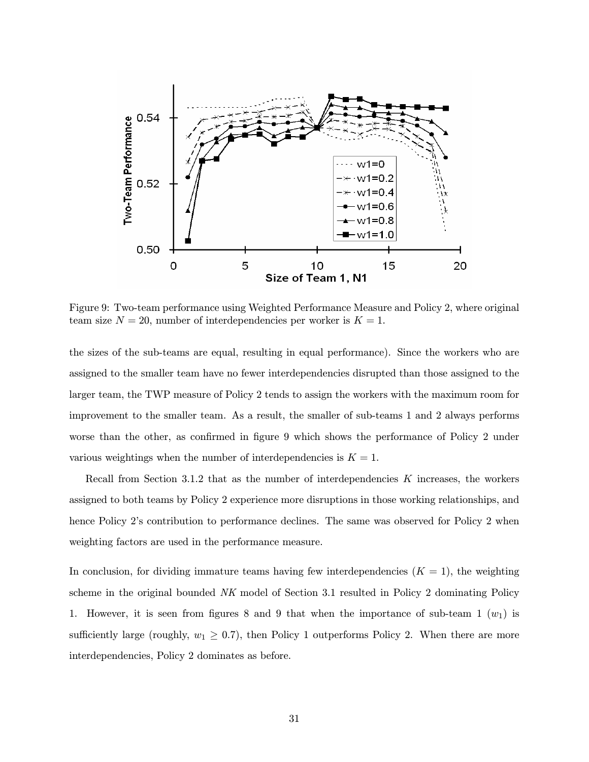

Figure 9: Two-team performance using Weighted Performance Measure and Policy 2, where original team size  $N = 20$ , number of interdependencies per worker is  $K = 1$ .

the sizes of the sub-teams are equal, resulting in equal performance). Since the workers who are assigned to the smaller team have no fewer interdependencies disrupted than those assigned to the larger team, the TWP measure of Policy 2 tends to assign the workers with the maximum room for improvement to the smaller team. As a result, the smaller of sub-teams 1 and 2 always performs worse than the other, as confirmed in figure 9 which shows the performance of Policy 2 under various weightings when the number of interdependencies is  $K = 1$ .

Recall from Section 3.1.2 that as the number of interdependencies  $K$  increases, the workers assigned to both teams by Policy 2 experience more disruptions in those working relationships, and hence Policy 2's contribution to performance declines. The same was observed for Policy 2 when weighting factors are used in the performance measure.

In conclusion, for dividing immature teams having few interdependencies  $(K = 1)$ , the weighting scheme in the original bounded NK model of Section 3.1 resulted in Policy 2 dominating Policy 1. However, it is seen from figures 8 and 9 that when the importance of sub-team 1  $(w_1)$  is sufficiently large (roughly,  $w_1 \geq 0.7$ ), then Policy 1 outperforms Policy 2. When there are more interdependencies, Policy 2 dominates as before.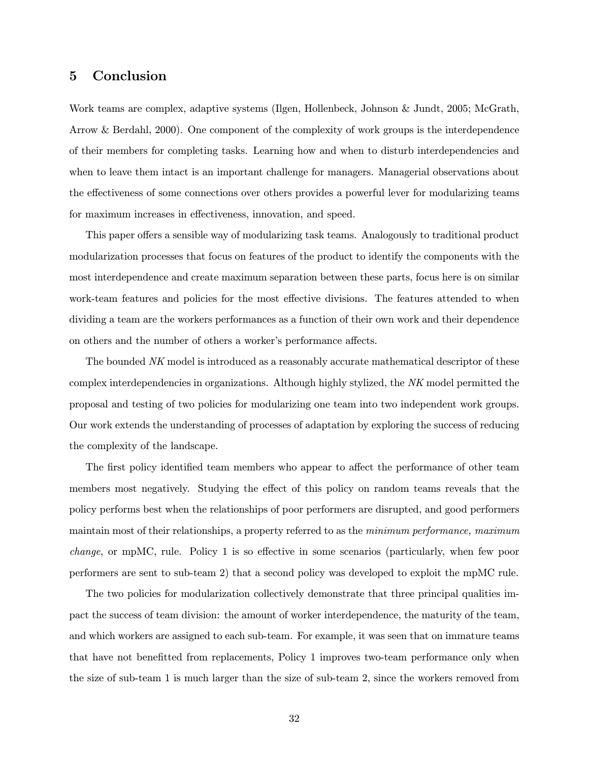# 5 Conclusion

Work teams are complex, adaptive systems (Ilgen, Hollenbeck, Johnson & Jundt, 2005; McGrath, Arrow & Berdahl, 2000). One component of the complexity of work groups is the interdependence of their members for completing tasks. Learning how and when to disturb interdependencies and when to leave them intact is an important challenge for managers. Managerial observations about the effectiveness of some connections over others provides a powerful lever for modularizing teams for maximum increases in effectiveness, innovation, and speed.

This paper offers a sensible way of modularizing task teams. Analogously to traditional product modularization processes that focus on features of the product to identify the components with the most interdependence and create maximum separation between these parts, focus here is on similar work-team features and policies for the most effective divisions. The features attended to when dividing a team are the workers performances as a function of their own work and their dependence on others and the number of others a worker's performance affects.

The bounded NK model is introduced as a reasonably accurate mathematical descriptor of these complex interdependencies in organizations. Although highly stylized, the NK model permitted the proposal and testing of two policies for modularizing one team into two independent work groups. Our work extends the understanding of processes of adaptation by exploring the success of reducing the complexity of the landscape.

The first policy identified team members who appear to affect the performance of other team members most negatively. Studying the effect of this policy on random teams reveals that the policy performs best when the relationships of poor performers are disrupted, and good performers maintain most of their relationships, a property referred to as the minimum performance, maximum change, or mpMC, rule. Policy 1 is so effective in some scenarios (particularly, when few poor performers are sent to sub-team 2) that a second policy was developed to exploit the mpMC rule.

The two policies for modularization collectively demonstrate that three principal qualities impact the success of team division: the amount of worker interdependence, the maturity of the team, and which workers are assigned to each sub-team. For example, it was seen that on immature teams that have not benefitted from replacements, Policy 1 improves two-team performance only when the size of sub-team 1 is much larger than the size of sub-team 2, since the workers removed from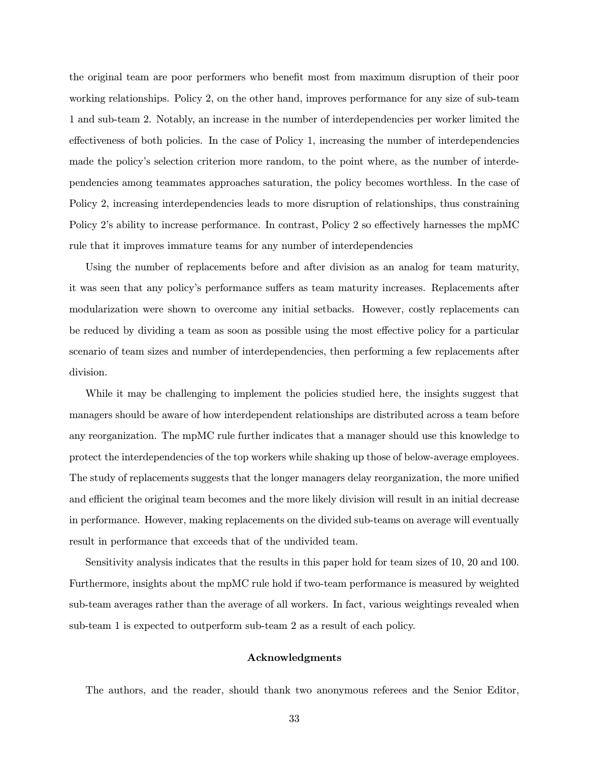the original team are poor performers who benefit most from maximum disruption of their poor working relationships. Policy 2, on the other hand, improves performance for any size of sub-team 1 and sub-team 2. Notably, an increase in the number of interdependencies per worker limited the effectiveness of both policies. In the case of Policy 1, increasing the number of interdependencies made the policy's selection criterion more random, to the point where, as the number of interdependencies among teammates approaches saturation, the policy becomes worthless. In the case of Policy 2, increasing interdependencies leads to more disruption of relationships, thus constraining Policy 2's ability to increase performance. In contrast, Policy 2 so effectively harnesses the mpMC rule that it improves immature teams for any number of interdependencies

Using the number of replacements before and after division as an analog for team maturity, it was seen that any policy's performance suffers as team maturity increases. Replacements after modularization were shown to overcome any initial setbacks. However, costly replacements can be reduced by dividing a team as soon as possible using the most effective policy for a particular scenario of team sizes and number of interdependencies, then performing a few replacements after division.

While it may be challenging to implement the policies studied here, the insights suggest that managers should be aware of how interdependent relationships are distributed across a team before any reorganization. The mpMC rule further indicates that a manager should use this knowledge to protect the interdependencies of the top workers while shaking up those of below-average employees. The study of replacements suggests that the longer managers delay reorganization, the more unified and efficient the original team becomes and the more likely division will result in an initial decrease in performance. However, making replacements on the divided sub-teams on average will eventually result in performance that exceeds that of the undivided team.

Sensitivity analysis indicates that the results in this paper hold for team sizes of 10, 20 and 100. Furthermore, insights about the mpMC rule hold if two-team performance is measured by weighted sub-team averages rather than the average of all workers. In fact, various weightings revealed when sub-team 1 is expected to outperform sub-team 2 as a result of each policy.

#### Acknowledgments

The authors, and the reader, should thank two anonymous referees and the Senior Editor,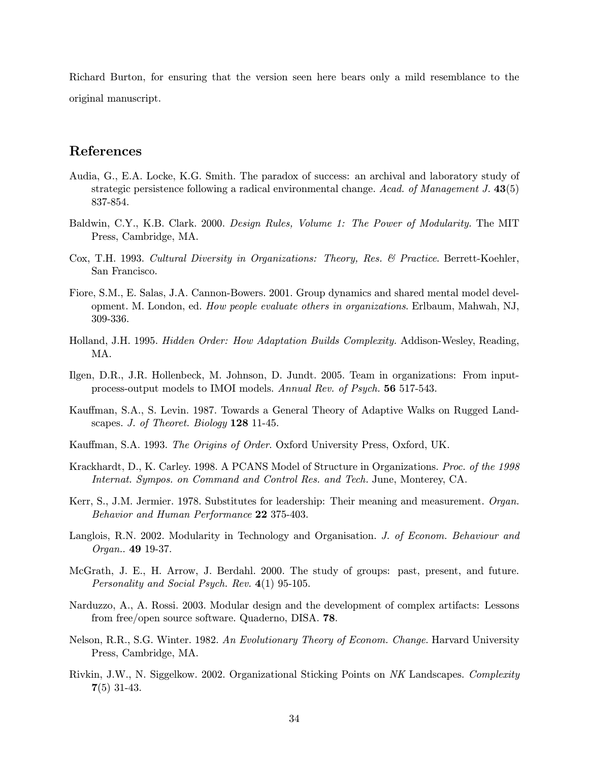Richard Burton, for ensuring that the version seen here bears only a mild resemblance to the original manuscript.

## References

- Audia, G., E.A. Locke, K.G. Smith. The paradox of success: an archival and laboratory study of strategic persistence following a radical environmental change. Acad. of Management J. 43(5) 837-854.
- Baldwin, C.Y., K.B. Clark. 2000. Design Rules, Volume 1: The Power of Modularity. The MIT Press, Cambridge, MA.
- Cox, T.H. 1993. Cultural Diversity in Organizations: Theory, Res. & Practice. Berrett-Koehler, San Francisco.
- Fiore, S.M., E. Salas, J.A. Cannon-Bowers. 2001. Group dynamics and shared mental model development. M. London, ed. How people evaluate others in organizations. Erlbaum, Mahwah, NJ, 309-336.
- Holland, J.H. 1995. Hidden Order: How Adaptation Builds Complexity. Addison-Wesley, Reading, MA.
- Ilgen, D.R., J.R. Hollenbeck, M. Johnson, D. Jundt. 2005. Team in organizations: From inputprocess-output models to IMOI models. Annual Rev. of Psych. 56 517-543.
- Kauffman, S.A., S. Levin. 1987. Towards a General Theory of Adaptive Walks on Rugged Landscapes. J. of Theoret. Biology 128 11-45.
- Kauffman, S.A. 1993. The Origins of Order. Oxford University Press, Oxford, UK.
- Krackhardt, D., K. Carley. 1998. A PCANS Model of Structure in Organizations. Proc. of the 1998 Internat. Sympos. on Command and Control Res. and Tech. June, Monterey, CA.
- Kerr, S., J.M. Jermier. 1978. Substitutes for leadership: Their meaning and measurement. Organ. Behavior and Human Performance 22 375-403.
- Langlois, R.N. 2002. Modularity in Technology and Organisation. J. of Econom. Behaviour and Organ.. 49 19-37.
- McGrath, J. E., H. Arrow, J. Berdahl. 2000. The study of groups: past, present, and future. Personality and Social Psych. Rev. 4(1) 95-105.
- Narduzzo, A., A. Rossi. 2003. Modular design and the development of complex artifacts: Lessons from free/open source software. Quaderno, DISA. 78.
- Nelson, R.R., S.G. Winter. 1982. An Evolutionary Theory of Econom. Change. Harvard University Press, Cambridge, MA.
- Rivkin, J.W., N. Siggelkow. 2002. Organizational Sticking Points on NK Landscapes. Complexity 7(5) 31-43.